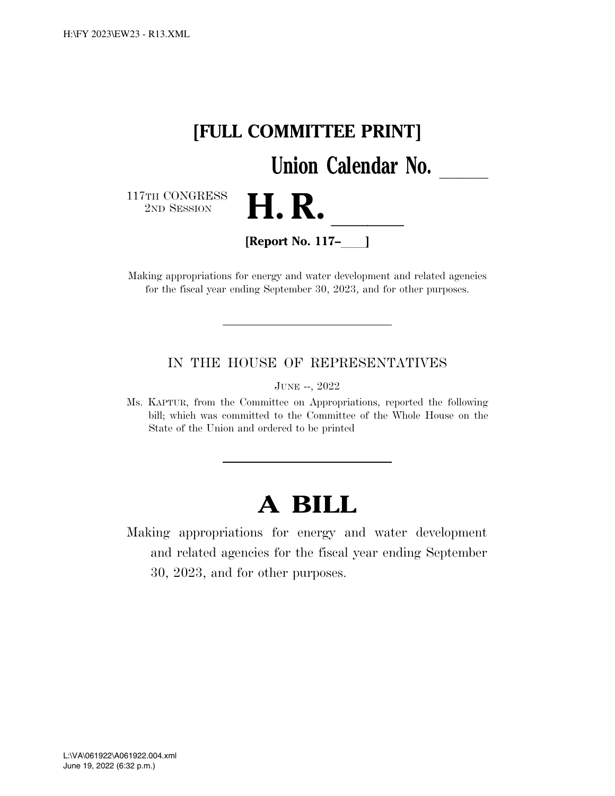

Making appropriations for energy and water development and related agencies for the fiscal year ending September 30, 2023, and for other purposes.

IN THE HOUSE OF REPRESENTATIVES

JUNE --, 2022

Ms. KAPTUR, from the Committee on Appropriations, reported the following bill; which was committed to the Committee of the Whole House on the State of the Union and ordered to be printed

# **A BILL**

Making appropriations for energy and water development and related agencies for the fiscal year ending September 30, 2023, and for other purposes.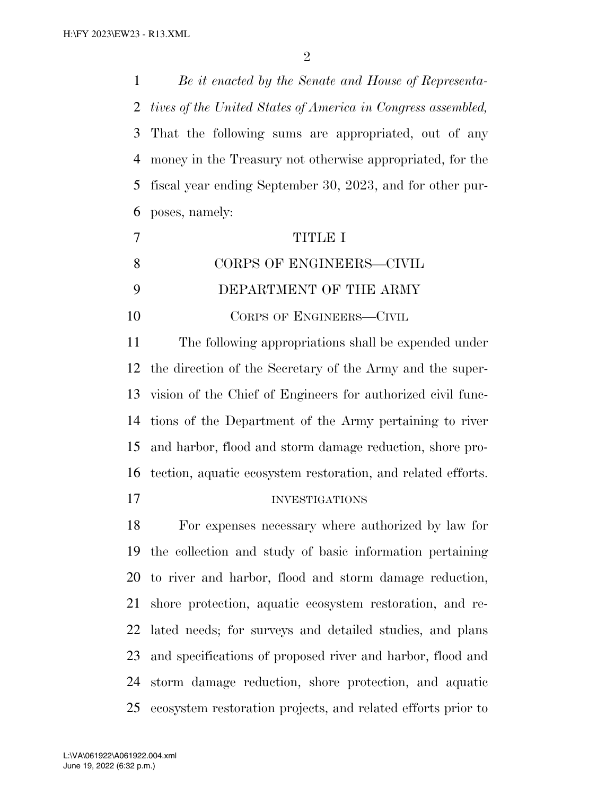*Be it enacted by the Senate and House of Representa- tives of the United States of America in Congress assembled,*  That the following sums are appropriated, out of any money in the Treasury not otherwise appropriated, for the fiscal year ending September 30, 2023, and for other pur-poses, namely:

|    | TITLE I                  |
|----|--------------------------|
|    | CORPS OF ENGINEERS—CIVIL |
|    | DEPARTMENT OF THE ARMY   |
| 10 | CORPS OF ENGINEERS-CIVIL |

 The following appropriations shall be expended under the direction of the Secretary of the Army and the super- vision of the Chief of Engineers for authorized civil func- tions of the Department of the Army pertaining to river and harbor, flood and storm damage reduction, shore pro-tection, aquatic ecosystem restoration, and related efforts.

# INVESTIGATIONS

 For expenses necessary where authorized by law for the collection and study of basic information pertaining to river and harbor, flood and storm damage reduction, shore protection, aquatic ecosystem restoration, and re- lated needs; for surveys and detailed studies, and plans and specifications of proposed river and harbor, flood and storm damage reduction, shore protection, and aquatic ecosystem restoration projects, and related efforts prior to

June 19, 2022 (6:32 p.m.) L:\VA\061922\A061922.004.xml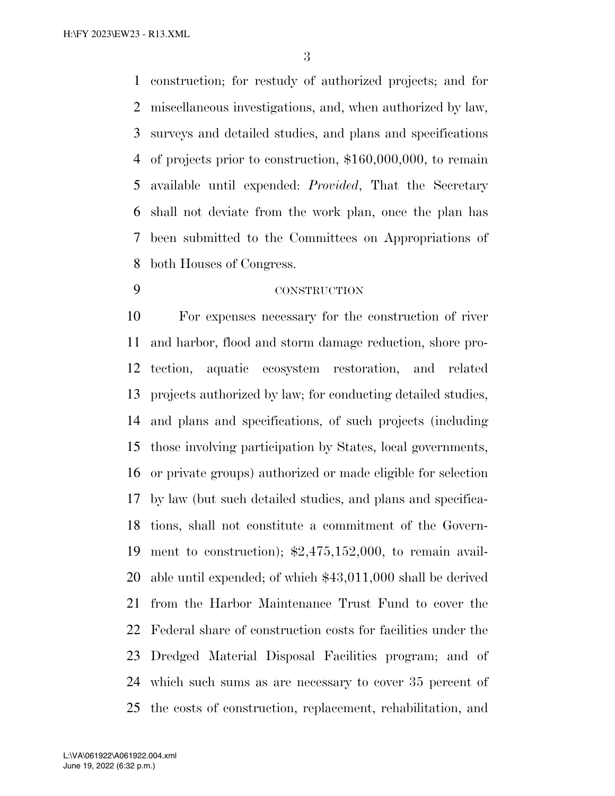construction; for restudy of authorized projects; and for miscellaneous investigations, and, when authorized by law, surveys and detailed studies, and plans and specifications of projects prior to construction, \$160,000,000, to remain available until expended: *Provided*, That the Secretary shall not deviate from the work plan, once the plan has been submitted to the Committees on Appropriations of both Houses of Congress.

# CONSTRUCTION

 For expenses necessary for the construction of river and harbor, flood and storm damage reduction, shore pro- tection, aquatic ecosystem restoration, and related projects authorized by law; for conducting detailed studies, and plans and specifications, of such projects (including those involving participation by States, local governments, or private groups) authorized or made eligible for selection by law (but such detailed studies, and plans and specifica- tions, shall not constitute a commitment of the Govern- ment to construction); \$2,475,152,000, to remain avail- able until expended; of which \$43,011,000 shall be derived from the Harbor Maintenance Trust Fund to cover the Federal share of construction costs for facilities under the Dredged Material Disposal Facilities program; and of which such sums as are necessary to cover 35 percent of the costs of construction, replacement, rehabilitation, and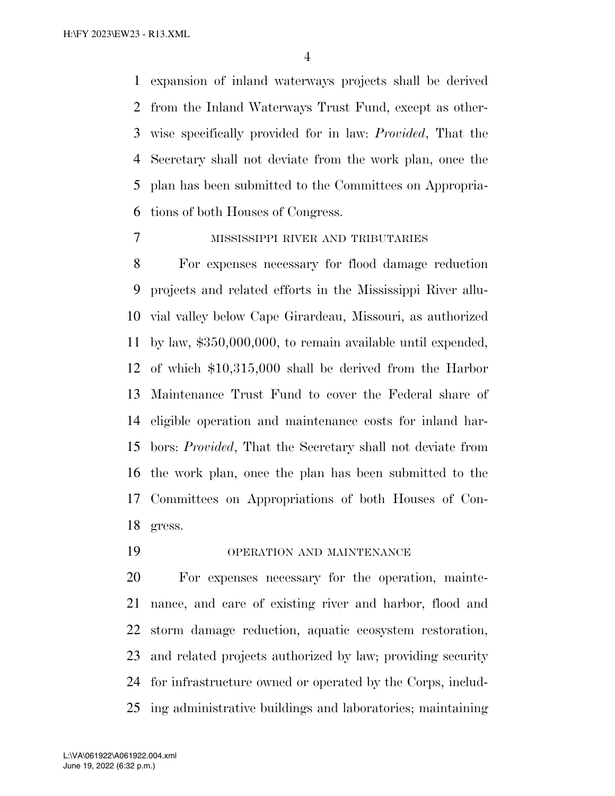expansion of inland waterways projects shall be derived from the Inland Waterways Trust Fund, except as other- wise specifically provided for in law: *Provided*, That the Secretary shall not deviate from the work plan, once the plan has been submitted to the Committees on Appropria-tions of both Houses of Congress.

# MISSISSIPPI RIVER AND TRIBUTARIES

 For expenses necessary for flood damage reduction projects and related efforts in the Mississippi River allu- vial valley below Cape Girardeau, Missouri, as authorized by law, \$350,000,000, to remain available until expended, of which \$10,315,000 shall be derived from the Harbor Maintenance Trust Fund to cover the Federal share of eligible operation and maintenance costs for inland har- bors: *Provided*, That the Secretary shall not deviate from the work plan, once the plan has been submitted to the Committees on Appropriations of both Houses of Con-gress.

# OPERATION AND MAINTENANCE

 For expenses necessary for the operation, mainte- nance, and care of existing river and harbor, flood and storm damage reduction, aquatic ecosystem restoration, and related projects authorized by law; providing security for infrastructure owned or operated by the Corps, includ-ing administrative buildings and laboratories; maintaining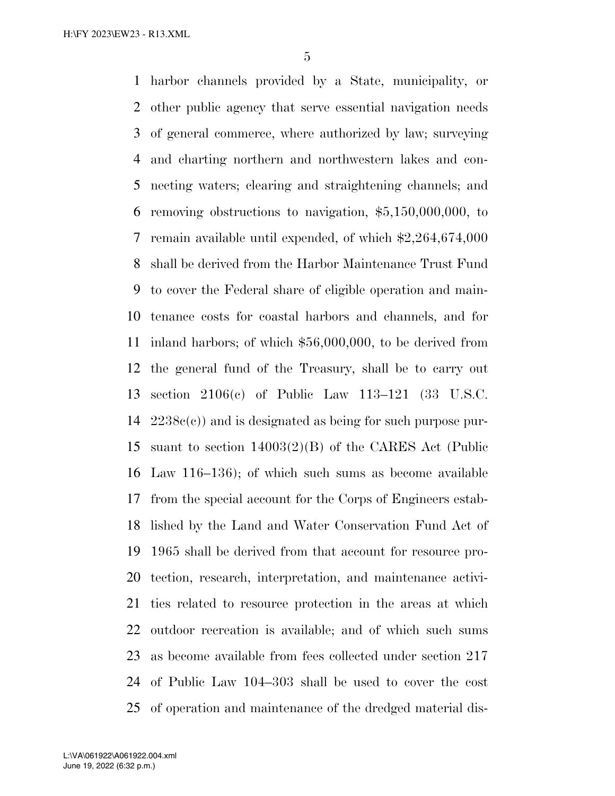harbor channels provided by a State, municipality, or other public agency that serve essential navigation needs of general commerce, where authorized by law; surveying and charting northern and northwestern lakes and con- necting waters; clearing and straightening channels; and removing obstructions to navigation, \$5,150,000,000, to remain available until expended, of which \$2,264,674,000 shall be derived from the Harbor Maintenance Trust Fund to cover the Federal share of eligible operation and main- tenance costs for coastal harbors and channels, and for inland harbors; of which \$56,000,000, to be derived from the general fund of the Treasury, shall be to carry out section 2106(c) of Public Law 113–121 (33 U.S.C. 2238c(c)) and is designated as being for such purpose pur- suant to section 14003(2)(B) of the CARES Act (Public Law 116–136); of which such sums as become available from the special account for the Corps of Engineers estab- lished by the Land and Water Conservation Fund Act of 1965 shall be derived from that account for resource pro- tection, research, interpretation, and maintenance activi- ties related to resource protection in the areas at which outdoor recreation is available; and of which such sums as become available from fees collected under section 217 of Public Law 104–303 shall be used to cover the cost of operation and maintenance of the dredged material dis-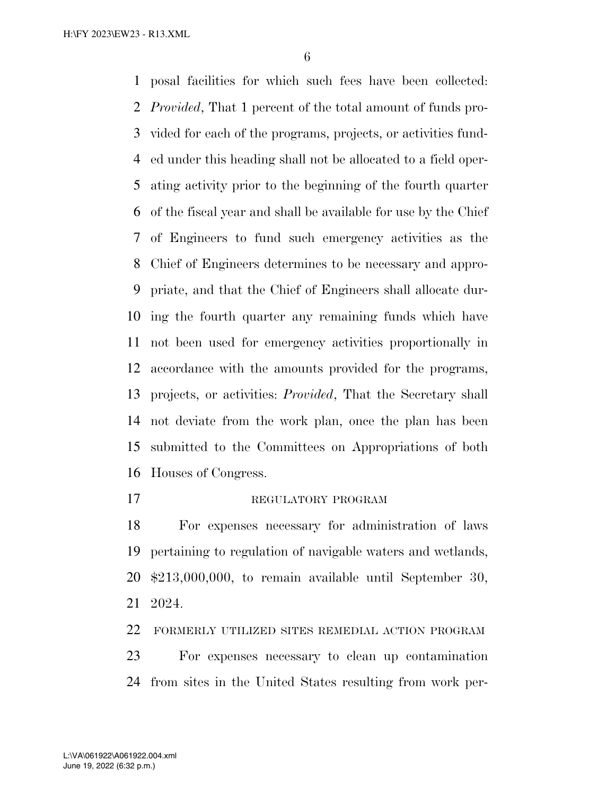posal facilities for which such fees have been collected: *Provided*, That 1 percent of the total amount of funds pro- vided for each of the programs, projects, or activities fund- ed under this heading shall not be allocated to a field oper- ating activity prior to the beginning of the fourth quarter of the fiscal year and shall be available for use by the Chief of Engineers to fund such emergency activities as the Chief of Engineers determines to be necessary and appro- priate, and that the Chief of Engineers shall allocate dur- ing the fourth quarter any remaining funds which have not been used for emergency activities proportionally in accordance with the amounts provided for the programs, projects, or activities: *Provided*, That the Secretary shall not deviate from the work plan, once the plan has been submitted to the Committees on Appropriations of both Houses of Congress.

# 17 REGULATORY PROGRAM

 For expenses necessary for administration of laws pertaining to regulation of navigable waters and wetlands, \$213,000,000, to remain available until September 30, 2024.

FORMERLY UTILIZED SITES REMEDIAL ACTION PROGRAM

 For expenses necessary to clean up contamination from sites in the United States resulting from work per-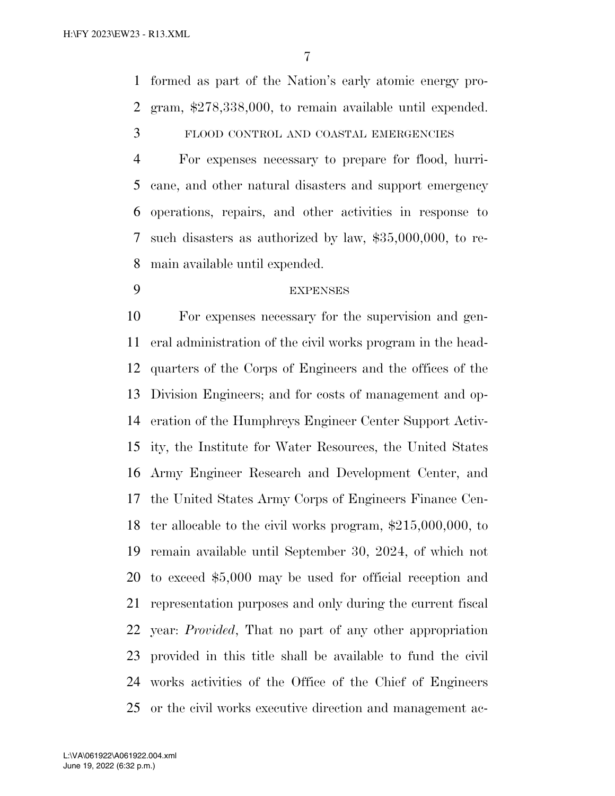formed as part of the Nation's early atomic energy pro-gram, \$278,338,000, to remain available until expended.

FLOOD CONTROL AND COASTAL EMERGENCIES

 For expenses necessary to prepare for flood, hurri- cane, and other natural disasters and support emergency operations, repairs, and other activities in response to such disasters as authorized by law, \$35,000,000, to re-main available until expended.

# EXPENSES

 For expenses necessary for the supervision and gen- eral administration of the civil works program in the head- quarters of the Corps of Engineers and the offices of the Division Engineers; and for costs of management and op- eration of the Humphreys Engineer Center Support Activ- ity, the Institute for Water Resources, the United States Army Engineer Research and Development Center, and the United States Army Corps of Engineers Finance Cen- ter allocable to the civil works program, \$215,000,000, to remain available until September 30, 2024, of which not to exceed \$5,000 may be used for official reception and representation purposes and only during the current fiscal year: *Provided*, That no part of any other appropriation provided in this title shall be available to fund the civil works activities of the Office of the Chief of Engineers or the civil works executive direction and management ac-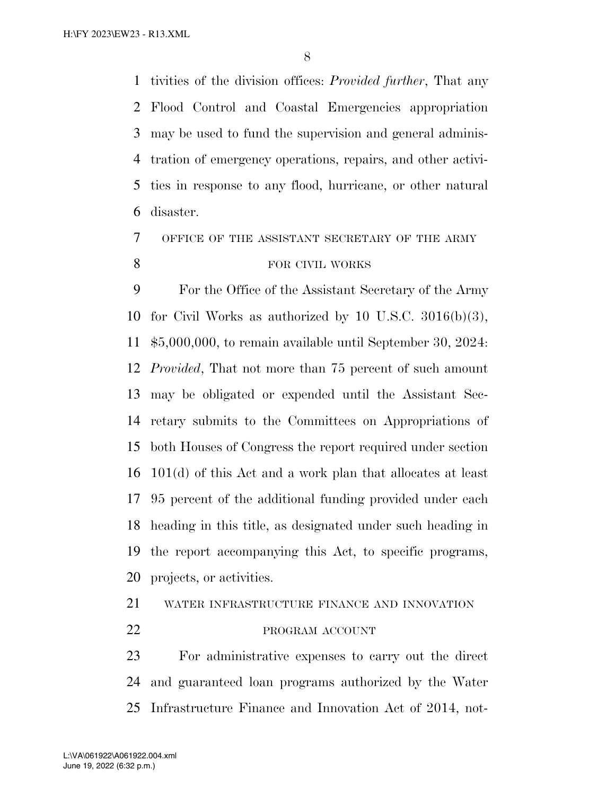tivities of the division offices: *Provided further*, That any Flood Control and Coastal Emergencies appropriation may be used to fund the supervision and general adminis- tration of emergency operations, repairs, and other activi- ties in response to any flood, hurricane, or other natural disaster.

- OFFICE OF THE ASSISTANT SECRETARY OF THE ARMY
- 

# 8 FOR CIVIL WORKS

 For the Office of the Assistant Secretary of the Army for Civil Works as authorized by 10 U.S.C. 3016(b)(3), \$5,000,000, to remain available until September 30, 2024: *Provided*, That not more than 75 percent of such amount may be obligated or expended until the Assistant Sec- retary submits to the Committees on Appropriations of both Houses of Congress the report required under section 101(d) of this Act and a work plan that allocates at least 95 percent of the additional funding provided under each heading in this title, as designated under such heading in the report accompanying this Act, to specific programs, projects, or activities.

WATER INFRASTRUCTURE FINANCE AND INNOVATION

# 22 PROGRAM ACCOUNT

 For administrative expenses to carry out the direct and guaranteed loan programs authorized by the Water Infrastructure Finance and Innovation Act of 2014, not-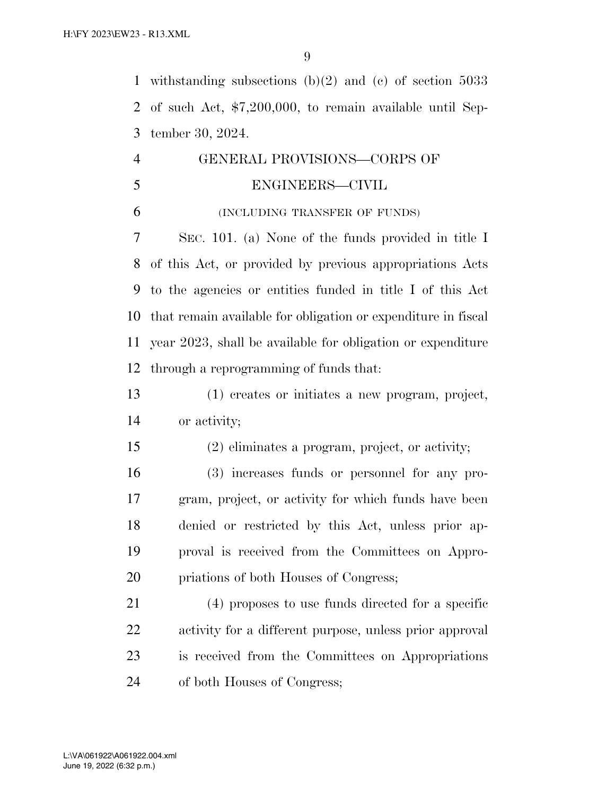withstanding subsections (b)(2) and (c) of section 5033 of such Act, \$7,200,000, to remain available until Sep-tember 30, 2024.

| $\overline{4}$ | GENERAL PROVISIONS—CORPS OF   |
|----------------|-------------------------------|
| 5              | ENGINEERS-CIVIL               |
| 6              | (INCLUDING TRANSFER OF FUNDS) |

 SEC. 101. (a) None of the funds provided in title I of this Act, or provided by previous appropriations Acts to the agencies or entities funded in title I of this Act that remain available for obligation or expenditure in fiscal year 2023, shall be available for obligation or expenditure through a reprogramming of funds that:

 (1) creates or initiates a new program, project, or activity;

(2) eliminates a program, project, or activity;

 (3) increases funds or personnel for any pro- gram, project, or activity for which funds have been denied or restricted by this Act, unless prior ap- proval is received from the Committees on Appro-priations of both Houses of Congress;

 (4) proposes to use funds directed for a specific activity for a different purpose, unless prior approval is received from the Committees on Appropriations of both Houses of Congress;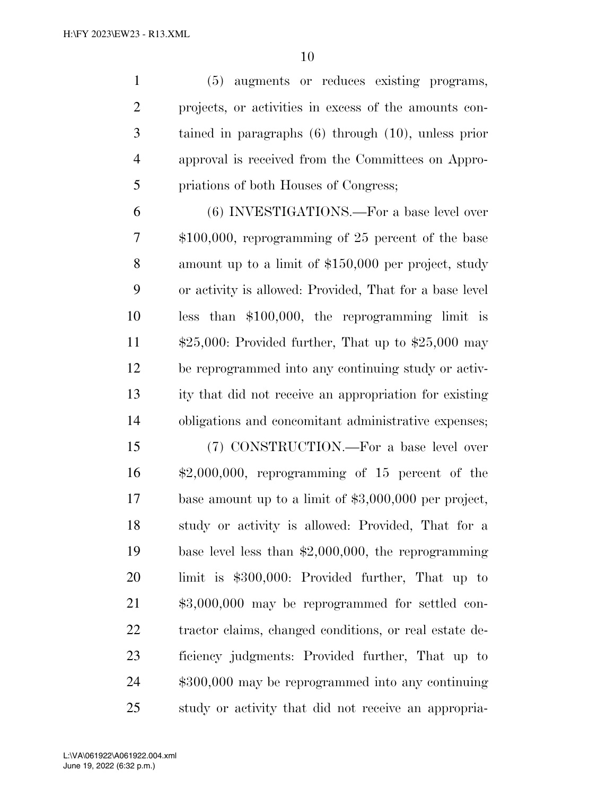(5) augments or reduces existing programs, projects, or activities in excess of the amounts con- tained in paragraphs (6) through (10), unless prior approval is received from the Committees on Appro-priations of both Houses of Congress;

 (6) INVESTIGATIONS.—For a base level over \$100,000, reprogramming of 25 percent of the base amount up to a limit of \$150,000 per project, study or activity is allowed: Provided, That for a base level less than \$100,000, the reprogramming limit is \$25,000: Provided further, That up to \$25,000 may be reprogrammed into any continuing study or activ- ity that did not receive an appropriation for existing obligations and concomitant administrative expenses;

 (7) CONSTRUCTION.—For a base level over \$2,000,000, reprogramming of 15 percent of the base amount up to a limit of \$3,000,000 per project, study or activity is allowed: Provided, That for a base level less than \$2,000,000, the reprogramming limit is \$300,000: Provided further, That up to \$3,000,000 may be reprogrammed for settled con-22 tractor claims, changed conditions, or real estate de- ficiency judgments: Provided further, That up to \$300,000 may be reprogrammed into any continuing study or activity that did not receive an appropria-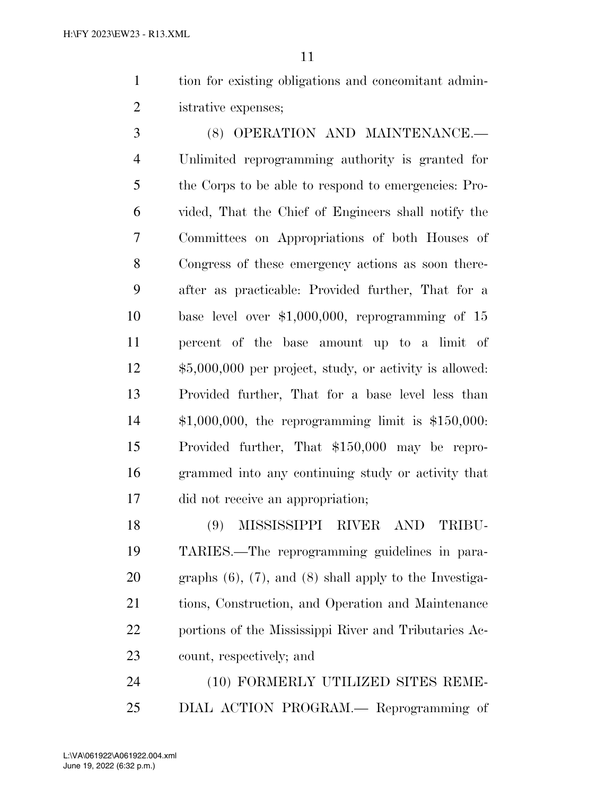tion for existing obligations and concomitant admin-istrative expenses;

 (8) OPERATION AND MAINTENANCE.— Unlimited reprogramming authority is granted for the Corps to be able to respond to emergencies: Pro- vided, That the Chief of Engineers shall notify the Committees on Appropriations of both Houses of Congress of these emergency actions as soon there- after as practicable: Provided further, That for a base level over \$1,000,000, reprogramming of 15 percent of the base amount up to a limit of \$5,000,000 per project, study, or activity is allowed: Provided further, That for a base level less than \$1,000,000, the reprogramming limit is \$150,000: Provided further, That \$150,000 may be repro- grammed into any continuing study or activity that did not receive an appropriation;

 (9) MISSISSIPPI RIVER AND TRIBU- TARIES.—The reprogramming guidelines in para- graphs (6), (7), and (8) shall apply to the Investiga- tions, Construction, and Operation and Maintenance portions of the Mississippi River and Tributaries Ac-count, respectively; and

 (10) FORMERLY UTILIZED SITES REME-DIAL ACTION PROGRAM.— Reprogramming of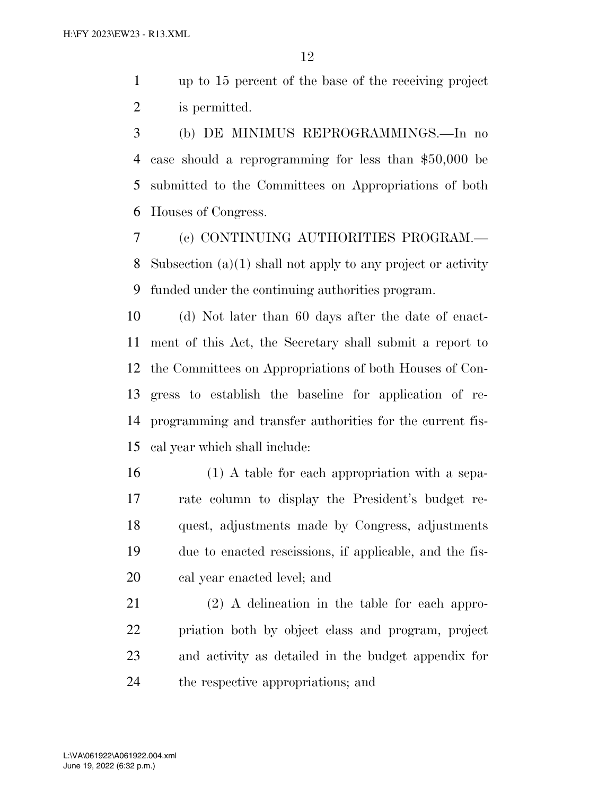up to 15 percent of the base of the receiving project is permitted.

 (b) DE MINIMUS REPROGRAMMINGS.—In no case should a reprogramming for less than \$50,000 be submitted to the Committees on Appropriations of both Houses of Congress.

 (c) CONTINUING AUTHORITIES PROGRAM.— Subsection (a)(1) shall not apply to any project or activity funded under the continuing authorities program.

 (d) Not later than 60 days after the date of enact- ment of this Act, the Secretary shall submit a report to the Committees on Appropriations of both Houses of Con- gress to establish the baseline for application of re- programming and transfer authorities for the current fis-cal year which shall include:

 (1) A table for each appropriation with a sepa- rate column to display the President's budget re- quest, adjustments made by Congress, adjustments due to enacted rescissions, if applicable, and the fis-cal year enacted level; and

 (2) A delineation in the table for each appro- priation both by object class and program, project and activity as detailed in the budget appendix for the respective appropriations; and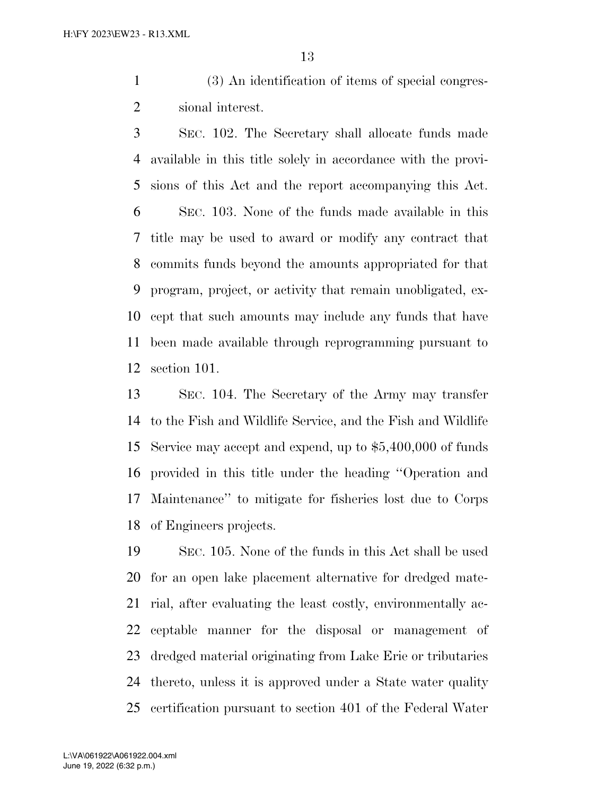(3) An identification of items of special congres-sional interest.

 SEC. 102. The Secretary shall allocate funds made available in this title solely in accordance with the provi- sions of this Act and the report accompanying this Act. SEC. 103. None of the funds made available in this title may be used to award or modify any contract that commits funds beyond the amounts appropriated for that program, project, or activity that remain unobligated, ex- cept that such amounts may include any funds that have been made available through reprogramming pursuant to section 101.

 SEC. 104. The Secretary of the Army may transfer to the Fish and Wildlife Service, and the Fish and Wildlife Service may accept and expend, up to \$5,400,000 of funds provided in this title under the heading ''Operation and Maintenance'' to mitigate for fisheries lost due to Corps of Engineers projects.

 SEC. 105. None of the funds in this Act shall be used for an open lake placement alternative for dredged mate- rial, after evaluating the least costly, environmentally ac- ceptable manner for the disposal or management of dredged material originating from Lake Erie or tributaries thereto, unless it is approved under a State water quality certification pursuant to section 401 of the Federal Water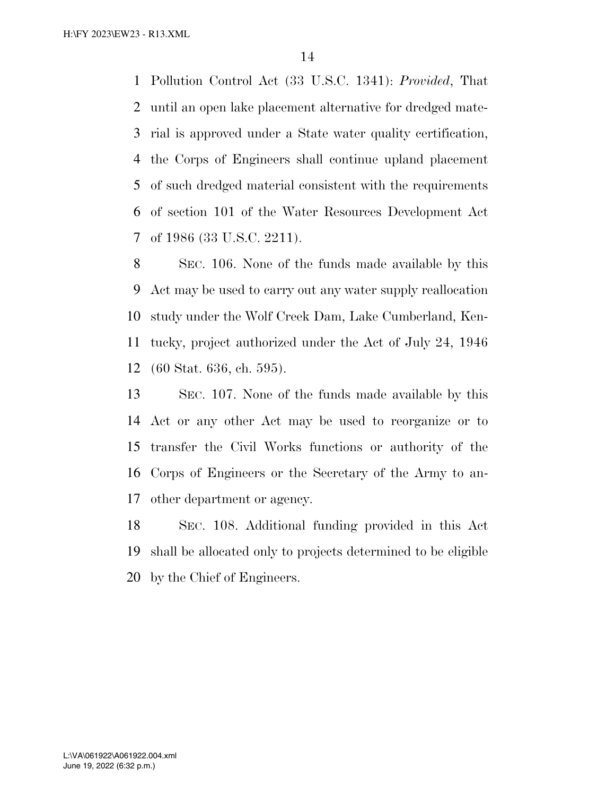Pollution Control Act (33 U.S.C. 1341): *Provided*, That until an open lake placement alternative for dredged mate- rial is approved under a State water quality certification, the Corps of Engineers shall continue upland placement of such dredged material consistent with the requirements of section 101 of the Water Resources Development Act of 1986 (33 U.S.C. 2211).

 SEC. 106. None of the funds made available by this Act may be used to carry out any water supply reallocation study under the Wolf Creek Dam, Lake Cumberland, Ken- tucky, project authorized under the Act of July 24, 1946 (60 Stat. 636, ch. 595).

 SEC. 107. None of the funds made available by this Act or any other Act may be used to reorganize or to transfer the Civil Works functions or authority of the Corps of Engineers or the Secretary of the Army to an-other department or agency.

 SEC. 108. Additional funding provided in this Act shall be allocated only to projects determined to be eligible by the Chief of Engineers.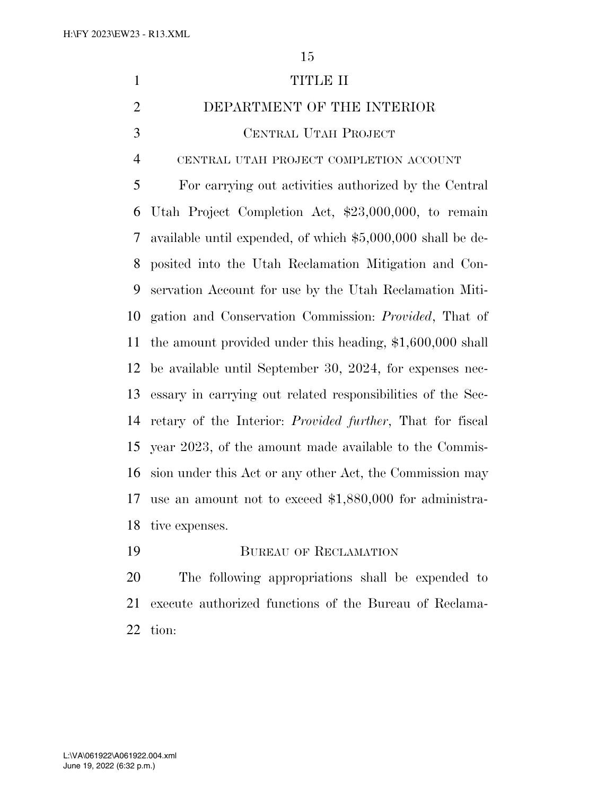| $\mathbf{1}$   | <b>TITLE II</b>                                                   |
|----------------|-------------------------------------------------------------------|
| $\overline{2}$ | DEPARTMENT OF THE INTERIOR                                        |
| 3              | CENTRAL UTAH PROJECT                                              |
| $\overline{4}$ | CENTRAL UTAH PROJECT COMPLETION ACCOUNT                           |
| 5              | For carrying out activities authorized by the Central             |
| 6              | Utah Project Completion Act, \$23,000,000, to remain              |
| 7              | available until expended, of which \$5,000,000 shall be de-       |
| 8              | posited into the Utah Reclamation Mitigation and Con-             |
| 9              | servation Account for use by the Utah Reclamation Miti-           |
| 10             | gation and Conservation Commission: Provided, That of             |
| 11             | the amount provided under this heading, $$1,600,000$ shall        |
| 12             | be available until September 30, 2024, for expenses nec-          |
| 13             | essary in carrying out related responsibilities of the Sec-       |
| 14             | retary of the Interior: <i>Provided further</i> , That for fiscal |
| 15             | year 2023, of the amount made available to the Commis-            |
| 16             | sion under this Act or any other Act, the Commission may          |
| 17             | use an amount not to exceed \$1,880,000 for administra-           |
| 18             | tive expenses.                                                    |
| 19             | <b>BUREAU OF RECLAMATION</b>                                      |
|                |                                                                   |

 The following appropriations shall be expended to execute authorized functions of the Bureau of Reclama-tion: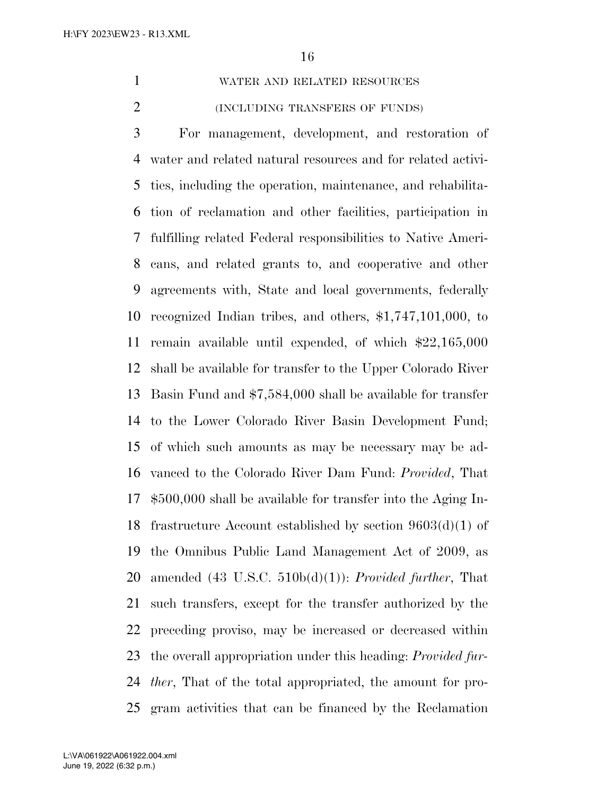WATER AND RELATED RESOURCES (INCLUDING TRANSFERS OF FUNDS)

 For management, development, and restoration of water and related natural resources and for related activi- ties, including the operation, maintenance, and rehabilita- tion of reclamation and other facilities, participation in fulfilling related Federal responsibilities to Native Ameri- cans, and related grants to, and cooperative and other agreements with, State and local governments, federally recognized Indian tribes, and others, \$1,747,101,000, to remain available until expended, of which \$22,165,000 shall be available for transfer to the Upper Colorado River Basin Fund and \$7,584,000 shall be available for transfer to the Lower Colorado River Basin Development Fund; of which such amounts as may be necessary may be ad- vanced to the Colorado River Dam Fund: *Provided*, That \$500,000 shall be available for transfer into the Aging In- frastructure Account established by section 9603(d)(1) of the Omnibus Public Land Management Act of 2009, as amended (43 U.S.C. 510b(d)(1)): *Provided further*, That such transfers, except for the transfer authorized by the preceding proviso, may be increased or decreased within the overall appropriation under this heading: *Provided fur- ther*, That of the total appropriated, the amount for pro-gram activities that can be financed by the Reclamation

June 19, 2022 (6:32 p.m.) L:\VA\061922\A061922.004.xml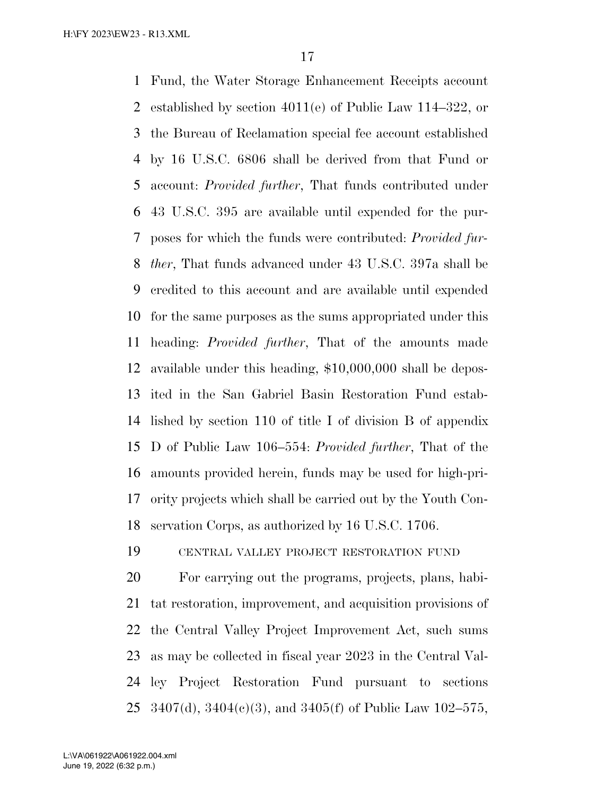Fund, the Water Storage Enhancement Receipts account established by section 4011(e) of Public Law 114–322, or the Bureau of Reclamation special fee account established by 16 U.S.C. 6806 shall be derived from that Fund or account: *Provided further*, That funds contributed under 43 U.S.C. 395 are available until expended for the pur- poses for which the funds were contributed: *Provided fur- ther*, That funds advanced under 43 U.S.C. 397a shall be credited to this account and are available until expended for the same purposes as the sums appropriated under this heading: *Provided further*, That of the amounts made available under this heading, \$10,000,000 shall be depos- ited in the San Gabriel Basin Restoration Fund estab- lished by section 110 of title I of division B of appendix D of Public Law 106–554: *Provided further*, That of the amounts provided herein, funds may be used for high-pri- ority projects which shall be carried out by the Youth Con-servation Corps, as authorized by 16 U.S.C. 1706.

CENTRAL VALLEY PROJECT RESTORATION FUND

 For carrying out the programs, projects, plans, habi- tat restoration, improvement, and acquisition provisions of the Central Valley Project Improvement Act, such sums as may be collected in fiscal year 2023 in the Central Val- ley Project Restoration Fund pursuant to sections 3407(d), 3404(c)(3), and 3405(f) of Public Law 102–575,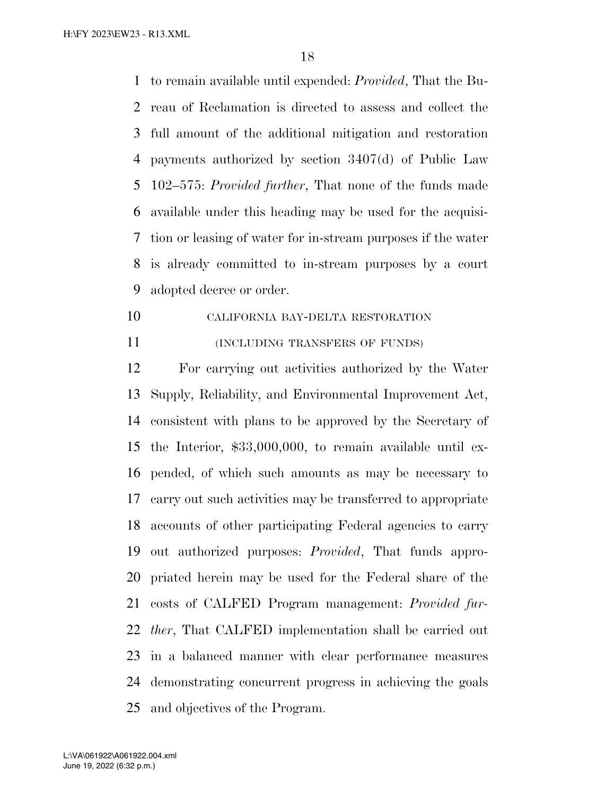to remain available until expended: *Provided*, That the Bu- reau of Reclamation is directed to assess and collect the full amount of the additional mitigation and restoration payments authorized by section 3407(d) of Public Law 102–575: *Provided further*, That none of the funds made available under this heading may be used for the acquisi- tion or leasing of water for in-stream purposes if the water is already committed to in-stream purposes by a court adopted decree or order.

CALIFORNIA BAY-DELTA RESTORATION

**INCLUDING TRANSFERS OF FUNDS** 

 For carrying out activities authorized by the Water Supply, Reliability, and Environmental Improvement Act, consistent with plans to be approved by the Secretary of the Interior, \$33,000,000, to remain available until ex- pended, of which such amounts as may be necessary to carry out such activities may be transferred to appropriate accounts of other participating Federal agencies to carry out authorized purposes: *Provided*, That funds appro- priated herein may be used for the Federal share of the costs of CALFED Program management: *Provided fur- ther*, That CALFED implementation shall be carried out in a balanced manner with clear performance measures demonstrating concurrent progress in achieving the goals and objectives of the Program.

June 19, 2022 (6:32 p.m.) L:\VA\061922\A061922.004.xml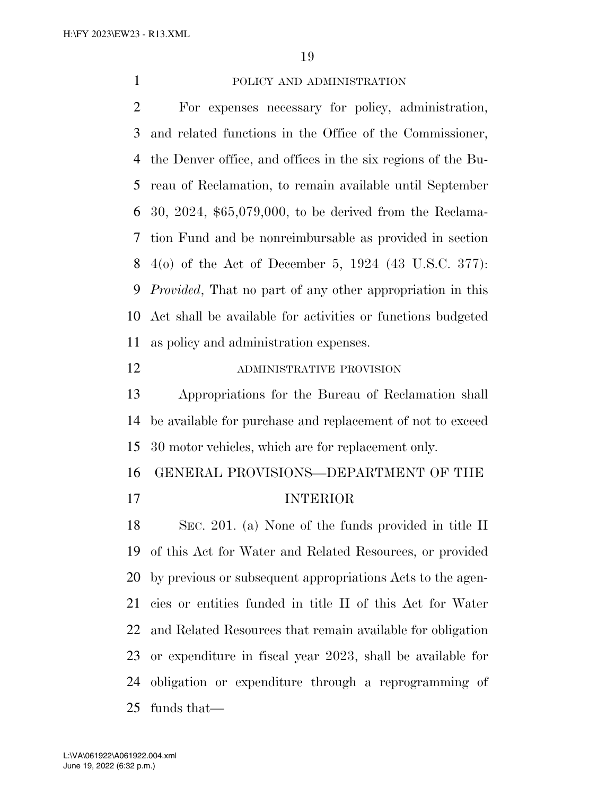### POLICY AND ADMINISTRATION

 For expenses necessary for policy, administration, and related functions in the Office of the Commissioner, the Denver office, and offices in the six regions of the Bu- reau of Reclamation, to remain available until September 30, 2024, \$65,079,000, to be derived from the Reclama- tion Fund and be nonreimbursable as provided in section 4(o) of the Act of December 5, 1924 (43 U.S.C. 377): *Provided*, That no part of any other appropriation in this Act shall be available for activities or functions budgeted as policy and administration expenses.

# 12 ADMINISTRATIVE PROVISION

 Appropriations for the Bureau of Reclamation shall be available for purchase and replacement of not to exceed 30 motor vehicles, which are for replacement only.

# GENERAL PROVISIONS—DEPARTMENT OF THE INTERIOR

 SEC. 201. (a) None of the funds provided in title II of this Act for Water and Related Resources, or provided by previous or subsequent appropriations Acts to the agen- cies or entities funded in title II of this Act for Water and Related Resources that remain available for obligation or expenditure in fiscal year 2023, shall be available for obligation or expenditure through a reprogramming of funds that—

June 19, 2022 (6:32 p.m.) L:\VA\061922\A061922.004.xml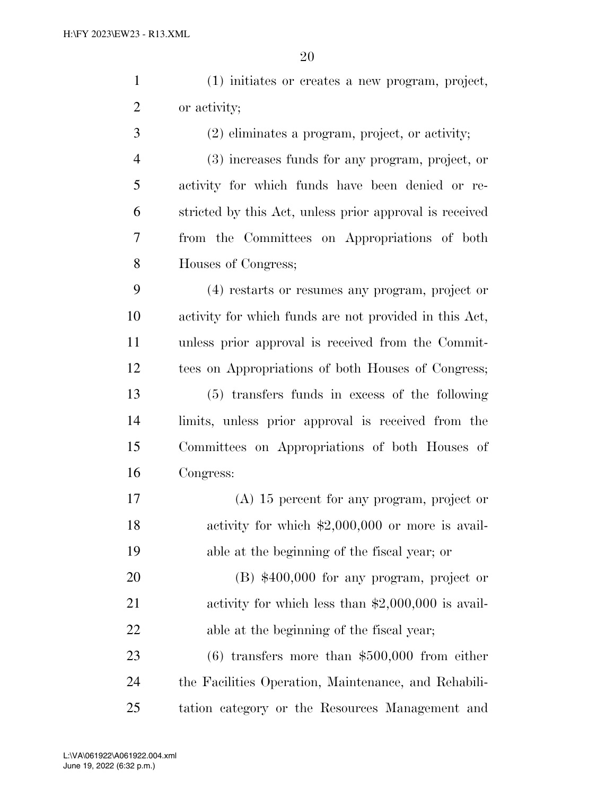| $\mathbf{1}$   | (1) initiates or creates a new program, project,        |
|----------------|---------------------------------------------------------|
| $\overline{2}$ | or activity;                                            |
| 3              | (2) eliminates a program, project, or activity;         |
| $\overline{4}$ | (3) increases funds for any program, project, or        |
| 5              | activity for which funds have been denied or re-        |
| 6              | stricted by this Act, unless prior approval is received |
| 7              | from the Committees on Appropriations of both           |
| 8              | Houses of Congress;                                     |
| 9              | (4) restarts or resumes any program, project or         |
| 10             | activity for which funds are not provided in this Act,  |
| 11             | unless prior approval is received from the Commit-      |
| 12             | tees on Appropriations of both Houses of Congress;      |
| 13             | (5) transfers funds in excess of the following          |
| 14             | limits, unless prior approval is received from the      |
| 15             | Committees on Appropriations of both Houses of          |
| 16             | Congress:                                               |
| 17             | $(A)$ 15 percent for any program, project or            |
| 18             | activity for which $$2,000,000$ or more is avail-       |
| 19             | able at the beginning of the fiscal year; or            |
| 20             | $(B)$ \$400,000 for any program, project or             |
| 21             | activity for which less than $$2,000,000$ is avail-     |
| 22             | able at the beginning of the fiscal year;               |
| 23             | $(6)$ transfers more than \$500,000 from either         |
| 24             | the Facilities Operation, Maintenance, and Rehabili-    |
| 25             | tation category or the Resources Management and         |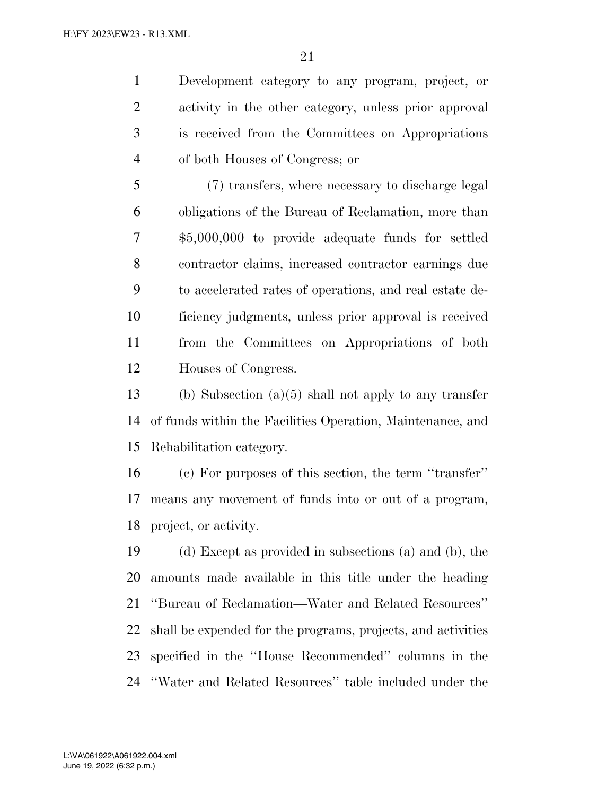Development category to any program, project, or activity in the other category, unless prior approval is received from the Committees on Appropriations of both Houses of Congress; or

 (7) transfers, where necessary to discharge legal obligations of the Bureau of Reclamation, more than \$5,000,000 to provide adequate funds for settled contractor claims, increased contractor earnings due to accelerated rates of operations, and real estate de- ficiency judgments, unless prior approval is received from the Committees on Appropriations of both Houses of Congress.

 (b) Subsection (a)(5) shall not apply to any transfer of funds within the Facilities Operation, Maintenance, and Rehabilitation category.

 (c) For purposes of this section, the term ''transfer'' means any movement of funds into or out of a program, project, or activity.

 (d) Except as provided in subsections (a) and (b), the amounts made available in this title under the heading ''Bureau of Reclamation—Water and Related Resources'' shall be expended for the programs, projects, and activities specified in the ''House Recommended'' columns in the ''Water and Related Resources'' table included under the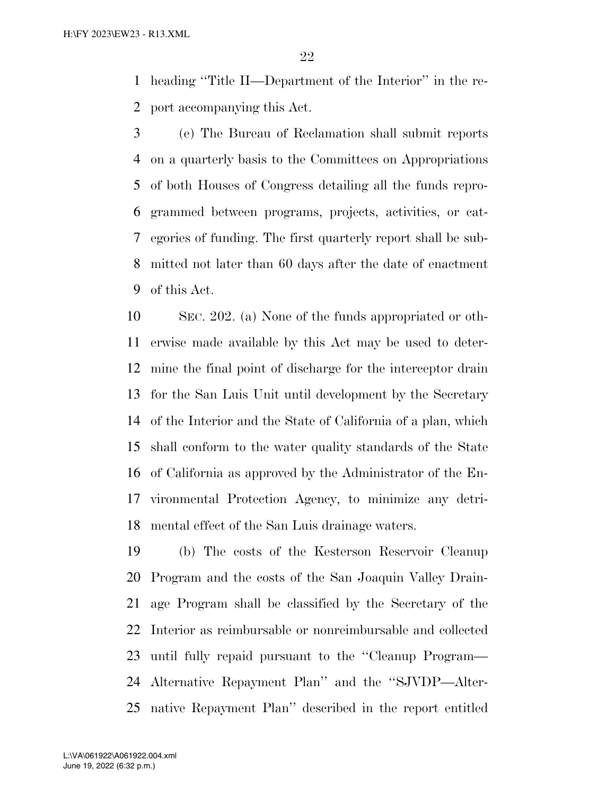heading ''Title II—Department of the Interior'' in the re-port accompanying this Act.

 (e) The Bureau of Reclamation shall submit reports on a quarterly basis to the Committees on Appropriations of both Houses of Congress detailing all the funds repro- grammed between programs, projects, activities, or cat- egories of funding. The first quarterly report shall be sub- mitted not later than 60 days after the date of enactment of this Act.

 SEC. 202. (a) None of the funds appropriated or oth- erwise made available by this Act may be used to deter- mine the final point of discharge for the interceptor drain for the San Luis Unit until development by the Secretary of the Interior and the State of California of a plan, which shall conform to the water quality standards of the State of California as approved by the Administrator of the En- vironmental Protection Agency, to minimize any detri-mental effect of the San Luis drainage waters.

 (b) The costs of the Kesterson Reservoir Cleanup Program and the costs of the San Joaquin Valley Drain- age Program shall be classified by the Secretary of the Interior as reimbursable or nonreimbursable and collected until fully repaid pursuant to the ''Cleanup Program— Alternative Repayment Plan'' and the ''SJVDP—Alter-native Repayment Plan'' described in the report entitled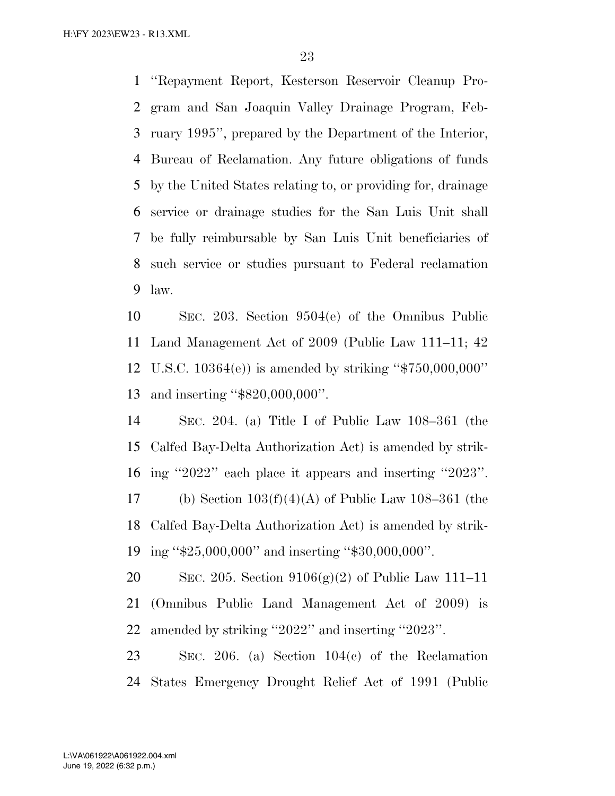''Repayment Report, Kesterson Reservoir Cleanup Pro- gram and San Joaquin Valley Drainage Program, Feb- ruary 1995'', prepared by the Department of the Interior, Bureau of Reclamation. Any future obligations of funds by the United States relating to, or providing for, drainage service or drainage studies for the San Luis Unit shall be fully reimbursable by San Luis Unit beneficiaries of such service or studies pursuant to Federal reclamation law.

 SEC. 203. Section 9504(e) of the Omnibus Public Land Management Act of 2009 (Public Law 111–11; 42 U.S.C. 10364(e)) is amended by striking ''\$750,000,000'' and inserting ''\$820,000,000''.

 SEC. 204. (a) Title I of Public Law 108–361 (the Calfed Bay-Delta Authorization Act) is amended by strik- ing ''2022'' each place it appears and inserting ''2023''. 17 (b) Section  $103(f)(4)(A)$  of Public Law 108–361 (the Calfed Bay-Delta Authorization Act) is amended by strik-ing ''\$25,000,000'' and inserting ''\$30,000,000''.

20 SEC. 205. Section  $9106(g)(2)$  of Public Law 111–11 (Omnibus Public Land Management Act of 2009) is amended by striking ''2022'' and inserting ''2023''.

 SEC. 206. (a) Section 104(c) of the Reclamation States Emergency Drought Relief Act of 1991 (Public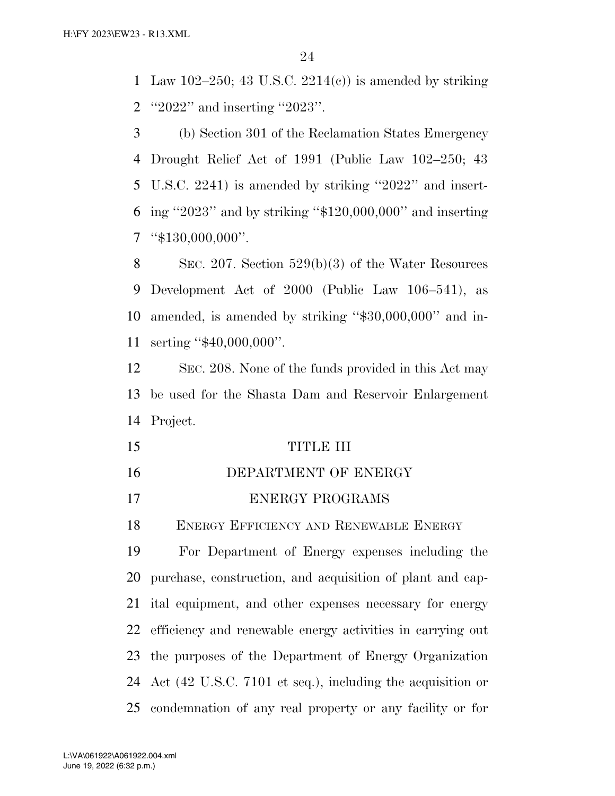1 Law 102–250; 43 U.S.C.  $2214(e)$  is amended by striking ''2022'' and inserting ''2023''.

 (b) Section 301 of the Reclamation States Emergency Drought Relief Act of 1991 (Public Law 102–250; 43 U.S.C. 2241) is amended by striking ''2022'' and insert- ing ''2023'' and by striking ''\$120,000,000'' and inserting ''\$130,000,000''.

 SEC. 207. Section 529(b)(3) of the Water Resources Development Act of 2000 (Public Law 106–541), as amended, is amended by striking ''\$30,000,000'' and in-serting ''\$40,000,000''.

 SEC. 208. None of the funds provided in this Act may be used for the Shasta Dam and Reservoir Enlargement Project.

- TITLE III DEPARTMENT OF ENERGY
	- ENERGY PROGRAMS

18 ENERGY EFFICIENCY AND RENEWABLE ENERGY

 For Department of Energy expenses including the purchase, construction, and acquisition of plant and cap- ital equipment, and other expenses necessary for energy efficiency and renewable energy activities in carrying out the purposes of the Department of Energy Organization Act (42 U.S.C. 7101 et seq.), including the acquisition or condemnation of any real property or any facility or for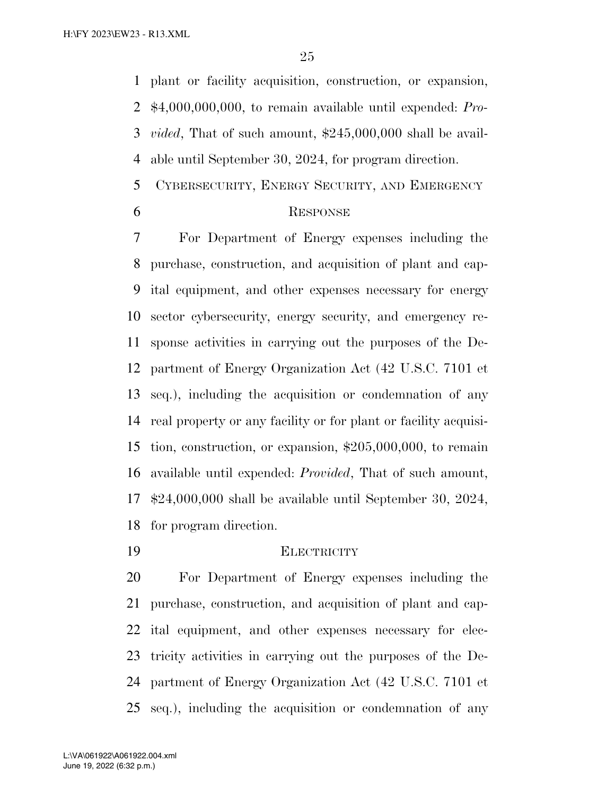plant or facility acquisition, construction, or expansion, \$4,000,000,000, to remain available until expended: *Pro- vided*, That of such amount, \$245,000,000 shall be avail-able until September 30, 2024, for program direction.

- CYBERSECURITY, ENERGY SECURITY, AND EMERGENCY
- 

# RESPONSE

 For Department of Energy expenses including the purchase, construction, and acquisition of plant and cap- ital equipment, and other expenses necessary for energy sector cybersecurity, energy security, and emergency re- sponse activities in carrying out the purposes of the De- partment of Energy Organization Act (42 U.S.C. 7101 et seq.), including the acquisition or condemnation of any real property or any facility or for plant or facility acquisi- tion, construction, or expansion, \$205,000,000, to remain available until expended: *Provided*, That of such amount, \$24,000,000 shall be available until September 30, 2024, for program direction.

# ELECTRICITY

 For Department of Energy expenses including the purchase, construction, and acquisition of plant and cap- ital equipment, and other expenses necessary for elec- tricity activities in carrying out the purposes of the De- partment of Energy Organization Act (42 U.S.C. 7101 et seq.), including the acquisition or condemnation of any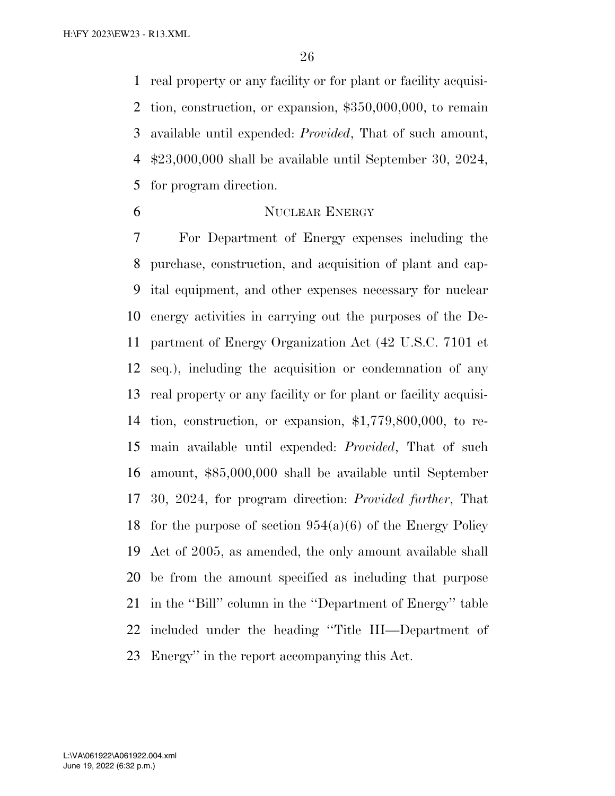real property or any facility or for plant or facility acquisi- tion, construction, or expansion, \$350,000,000, to remain available until expended: *Provided*, That of such amount, \$23,000,000 shall be available until September 30, 2024, for program direction.

# 6 NUCLEAR ENERGY

 For Department of Energy expenses including the purchase, construction, and acquisition of plant and cap- ital equipment, and other expenses necessary for nuclear energy activities in carrying out the purposes of the De- partment of Energy Organization Act (42 U.S.C. 7101 et seq.), including the acquisition or condemnation of any real property or any facility or for plant or facility acquisi- tion, construction, or expansion, \$1,779,800,000, to re- main available until expended: *Provided*, That of such amount, \$85,000,000 shall be available until September 30, 2024, for program direction: *Provided further*, That 18 for the purpose of section  $954(a)(6)$  of the Energy Policy Act of 2005, as amended, the only amount available shall be from the amount specified as including that purpose in the ''Bill'' column in the ''Department of Energy'' table included under the heading ''Title III—Department of Energy'' in the report accompanying this Act.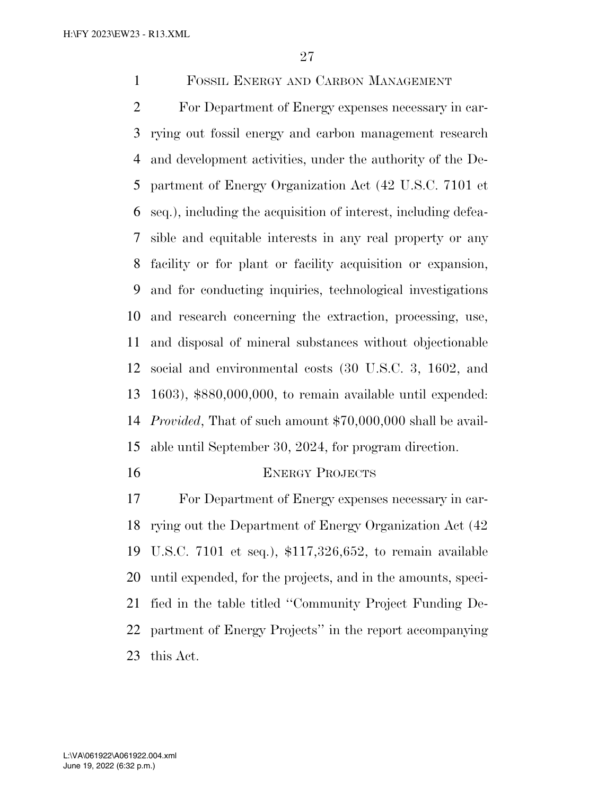# FOSSIL ENERGY AND CARBON MANAGEMENT

 For Department of Energy expenses necessary in car- rying out fossil energy and carbon management research and development activities, under the authority of the De- partment of Energy Organization Act (42 U.S.C. 7101 et seq.), including the acquisition of interest, including defea- sible and equitable interests in any real property or any facility or for plant or facility acquisition or expansion, and for conducting inquiries, technological investigations and research concerning the extraction, processing, use, and disposal of mineral substances without objectionable social and environmental costs (30 U.S.C. 3, 1602, and 1603), \$880,000,000, to remain available until expended: *Provided*, That of such amount \$70,000,000 shall be avail-able until September 30, 2024, for program direction.

### 16 ENERGY PROJECTS

 For Department of Energy expenses necessary in car- rying out the Department of Energy Organization Act (42 U.S.C. 7101 et seq.), \$117,326,652, to remain available until expended, for the projects, and in the amounts, speci- fied in the table titled ''Community Project Funding De- partment of Energy Projects'' in the report accompanying this Act.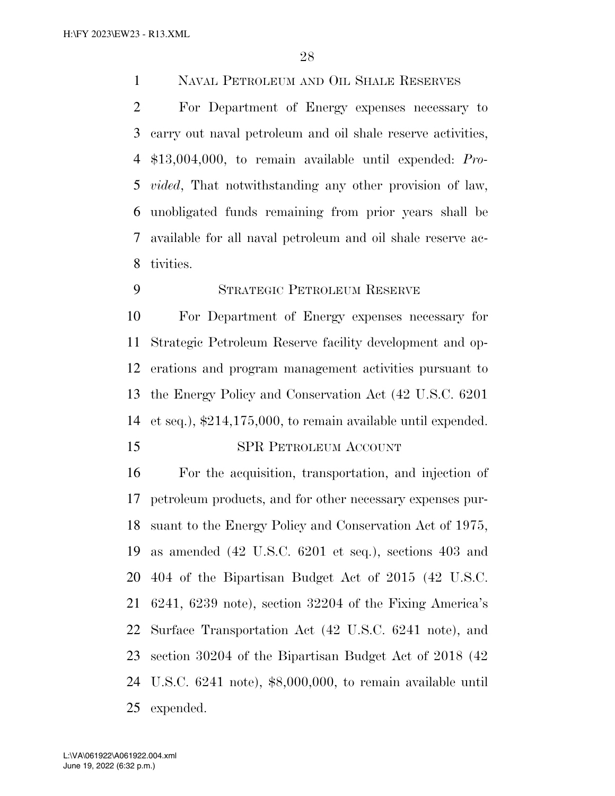NAVAL PETROLEUM AND OIL SHALE RESERVES

 For Department of Energy expenses necessary to carry out naval petroleum and oil shale reserve activities, \$13,004,000, to remain available until expended: *Pro- vided*, That notwithstanding any other provision of law, unobligated funds remaining from prior years shall be available for all naval petroleum and oil shale reserve ac-tivities.

STRATEGIC PETROLEUM RESERVE

 For Department of Energy expenses necessary for Strategic Petroleum Reserve facility development and op- erations and program management activities pursuant to the Energy Policy and Conservation Act (42 U.S.C. 6201 et seq.), \$214,175,000, to remain available until expended.

15 SPR PETROLEUM ACCOUNT

 For the acquisition, transportation, and injection of petroleum products, and for other necessary expenses pur- suant to the Energy Policy and Conservation Act of 1975, as amended (42 U.S.C. 6201 et seq.), sections 403 and 404 of the Bipartisan Budget Act of 2015 (42 U.S.C. 6241, 6239 note), section 32204 of the Fixing America's Surface Transportation Act (42 U.S.C. 6241 note), and section 30204 of the Bipartisan Budget Act of 2018 (42 U.S.C. 6241 note), \$8,000,000, to remain available until expended.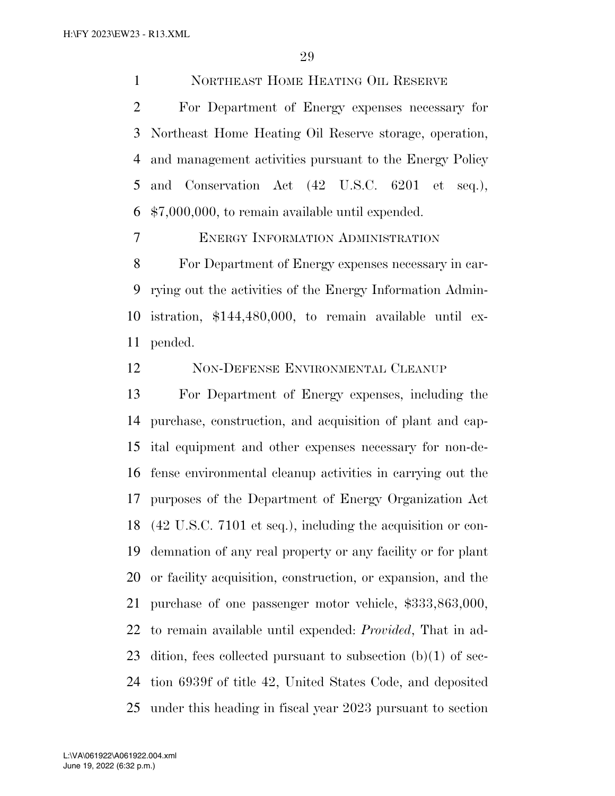1 NORTHEAST HOME HEATING OIL RESERVE

 For Department of Energy expenses necessary for Northeast Home Heating Oil Reserve storage, operation, and management activities pursuant to the Energy Policy and Conservation Act (42 U.S.C. 6201 et seq.), \$7,000,000, to remain available until expended.

ENERGY INFORMATION ADMINISTRATION

 For Department of Energy expenses necessary in car- rying out the activities of the Energy Information Admin- istration, \$144,480,000, to remain available until ex-pended.

NON-DEFENSE ENVIRONMENTAL CLEANUP

 For Department of Energy expenses, including the purchase, construction, and acquisition of plant and cap- ital equipment and other expenses necessary for non-de- fense environmental cleanup activities in carrying out the purposes of the Department of Energy Organization Act (42 U.S.C. 7101 et seq.), including the acquisition or con- demnation of any real property or any facility or for plant or facility acquisition, construction, or expansion, and the purchase of one passenger motor vehicle, \$333,863,000, to remain available until expended: *Provided*, That in ad-23 dition, fees collected pursuant to subsection  $(b)(1)$  of sec- tion 6939f of title 42, United States Code, and deposited under this heading in fiscal year 2023 pursuant to section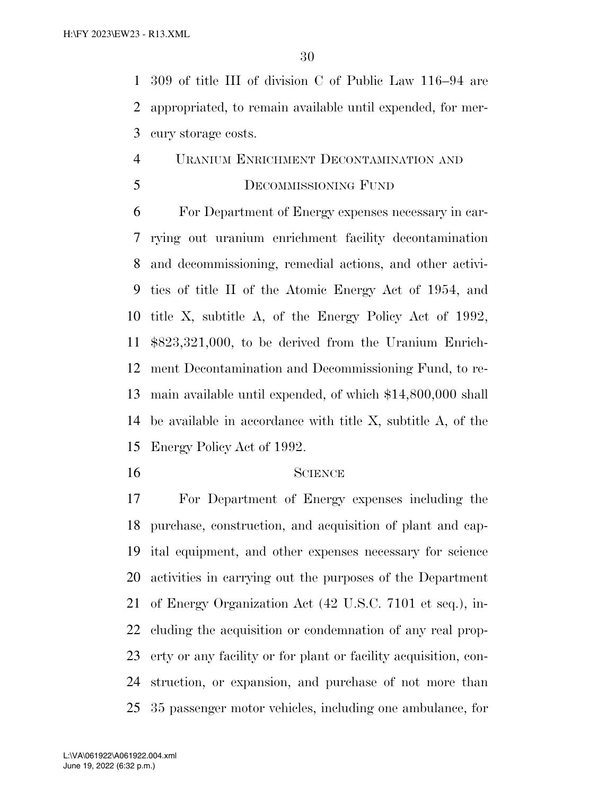309 of title III of division C of Public Law 116–94 are appropriated, to remain available until expended, for mer-cury storage costs.

# URANIUM ENRICHMENT DECONTAMINATION AND

DECOMMISSIONING FUND

 For Department of Energy expenses necessary in car- rying out uranium enrichment facility decontamination and decommissioning, remedial actions, and other activi- ties of title II of the Atomic Energy Act of 1954, and title X, subtitle A, of the Energy Policy Act of 1992, \$823,321,000, to be derived from the Uranium Enrich- ment Decontamination and Decommissioning Fund, to re- main available until expended, of which \$14,800,000 shall be available in accordance with title X, subtitle A, of the Energy Policy Act of 1992.

### SCIENCE

 For Department of Energy expenses including the purchase, construction, and acquisition of plant and cap- ital equipment, and other expenses necessary for science activities in carrying out the purposes of the Department of Energy Organization Act (42 U.S.C. 7101 et seq.), in- cluding the acquisition or condemnation of any real prop- erty or any facility or for plant or facility acquisition, con- struction, or expansion, and purchase of not more than 35 passenger motor vehicles, including one ambulance, for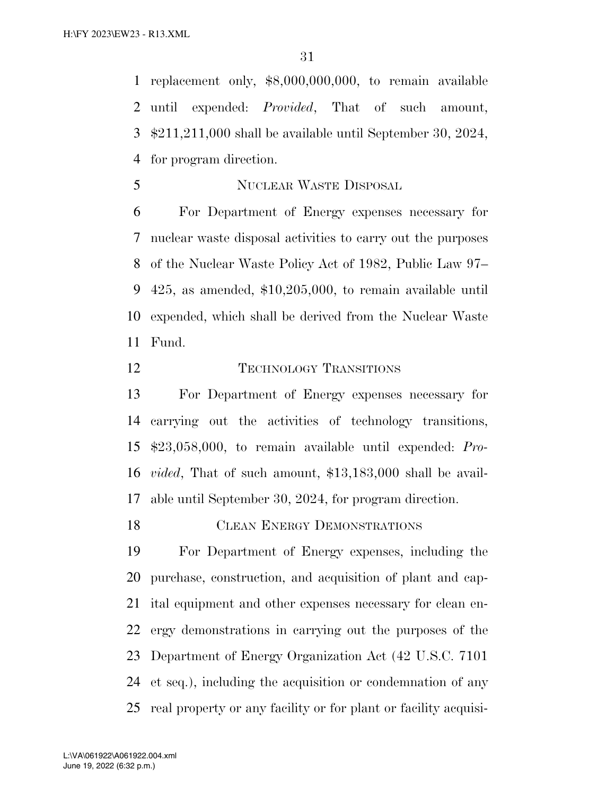replacement only, \$8,000,000,000, to remain available until expended: *Provided*, That of such amount, \$211,211,000 shall be available until September 30, 2024, for program direction.

NUCLEAR WASTE DISPOSAL

 For Department of Energy expenses necessary for nuclear waste disposal activities to carry out the purposes of the Nuclear Waste Policy Act of 1982, Public Law 97– 425, as amended, \$10,205,000, to remain available until expended, which shall be derived from the Nuclear Waste Fund.

12 TECHNOLOGY TRANSITIONS

 For Department of Energy expenses necessary for carrying out the activities of technology transitions, \$23,058,000, to remain available until expended: *Pro- vided*, That of such amount, \$13,183,000 shall be avail-able until September 30, 2024, for program direction.

# CLEAN ENERGY DEMONSTRATIONS

 For Department of Energy expenses, including the purchase, construction, and acquisition of plant and cap- ital equipment and other expenses necessary for clean en- ergy demonstrations in carrying out the purposes of the Department of Energy Organization Act (42 U.S.C. 7101 et seq.), including the acquisition or condemnation of any real property or any facility or for plant or facility acquisi-

June 19, 2022 (6:32 p.m.) L:\VA\061922\A061922.004.xml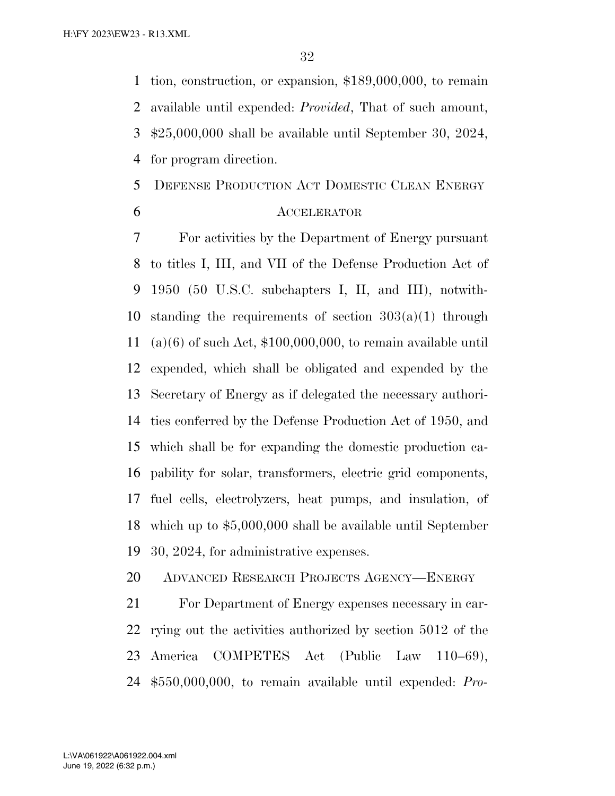tion, construction, or expansion, \$189,000,000, to remain available until expended: *Provided*, That of such amount, \$25,000,000 shall be available until September 30, 2024, for program direction.

# DEFENSE PRODUCTION ACT DOMESTIC CLEAN ENERGY

# ACCELERATOR

 For activities by the Department of Energy pursuant to titles I, III, and VII of the Defense Production Act of 1950 (50 U.S.C. subchapters I, II, and III), notwith-10 standing the requirements of section  $303(a)(1)$  through (a)(6) of such Act, \$100,000,000, to remain available until expended, which shall be obligated and expended by the Secretary of Energy as if delegated the necessary authori- ties conferred by the Defense Production Act of 1950, and which shall be for expanding the domestic production ca- pability for solar, transformers, electric grid components, fuel cells, electrolyzers, heat pumps, and insulation, of which up to \$5,000,000 shall be available until September 30, 2024, for administrative expenses.

ADVANCED RESEARCH PROJECTS AGENCY—ENERGY

 For Department of Energy expenses necessary in car- rying out the activities authorized by section 5012 of the America COMPETES Act (Public Law 110–69), \$550,000,000, to remain available until expended: *Pro-*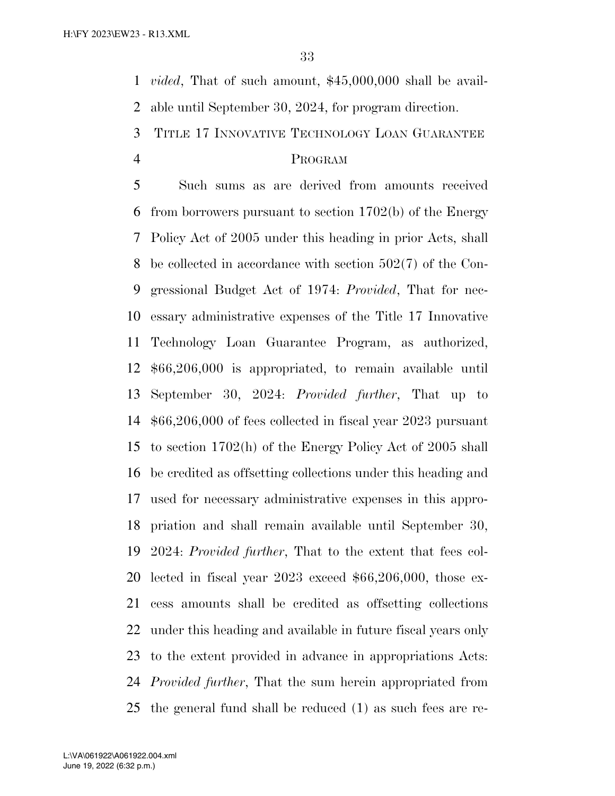*vided*, That of such amount, \$45,000,000 shall be avail-able until September 30, 2024, for program direction.

# TITLE 17 INNOVATIVE TECHNOLOGY LOAN GUARANTEE

# PROGRAM

 Such sums as are derived from amounts received from borrowers pursuant to section 1702(b) of the Energy Policy Act of 2005 under this heading in prior Acts, shall be collected in accordance with section 502(7) of the Con- gressional Budget Act of 1974: *Provided*, That for nec- essary administrative expenses of the Title 17 Innovative Technology Loan Guarantee Program, as authorized, \$66,206,000 is appropriated, to remain available until September 30, 2024: *Provided further*, That up to \$66,206,000 of fees collected in fiscal year 2023 pursuant to section 1702(h) of the Energy Policy Act of 2005 shall be credited as offsetting collections under this heading and used for necessary administrative expenses in this appro- priation and shall remain available until September 30, 2024: *Provided further*, That to the extent that fees col- lected in fiscal year 2023 exceed \$66,206,000, those ex- cess amounts shall be credited as offsetting collections under this heading and available in future fiscal years only to the extent provided in advance in appropriations Acts: *Provided further*, That the sum herein appropriated from the general fund shall be reduced (1) as such fees are re-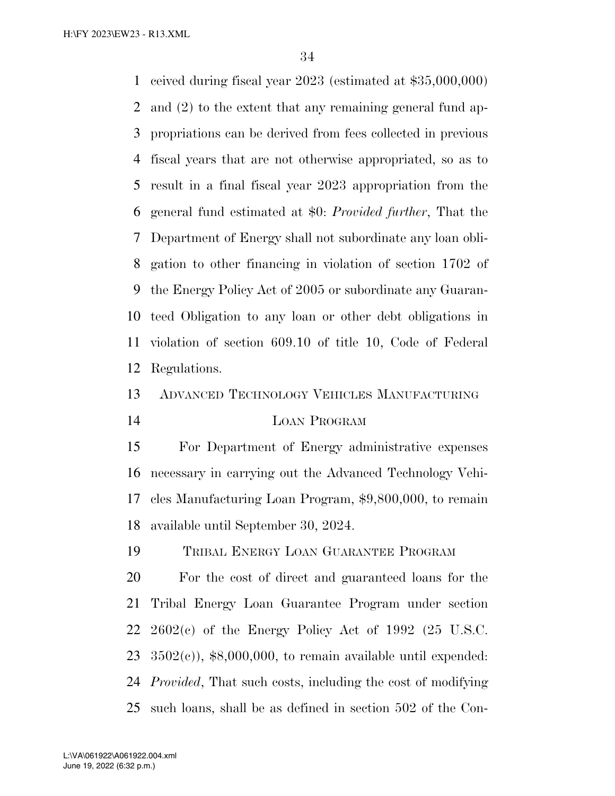ceived during fiscal year 2023 (estimated at \$35,000,000) and (2) to the extent that any remaining general fund ap- propriations can be derived from fees collected in previous fiscal years that are not otherwise appropriated, so as to result in a final fiscal year 2023 appropriation from the general fund estimated at \$0: *Provided further*, That the Department of Energy shall not subordinate any loan obli- gation to other financing in violation of section 1702 of the Energy Policy Act of 2005 or subordinate any Guaran- teed Obligation to any loan or other debt obligations in violation of section 609.10 of title 10, Code of Federal Regulations.

# ADVANCED TECHNOLOGY VEHICLES MANUFACTURING LOAN PROGRAM

 For Department of Energy administrative expenses necessary in carrying out the Advanced Technology Vehi- cles Manufacturing Loan Program, \$9,800,000, to remain available until September 30, 2024.

TRIBAL ENERGY LOAN GUARANTEE PROGRAM

 For the cost of direct and guaranteed loans for the Tribal Energy Loan Guarantee Program under section 2602(c) of the Energy Policy Act of 1992 (25 U.S.C.  $3502(c)$ , \$8,000,000, to remain available until expended: *Provided*, That such costs, including the cost of modifying such loans, shall be as defined in section 502 of the Con-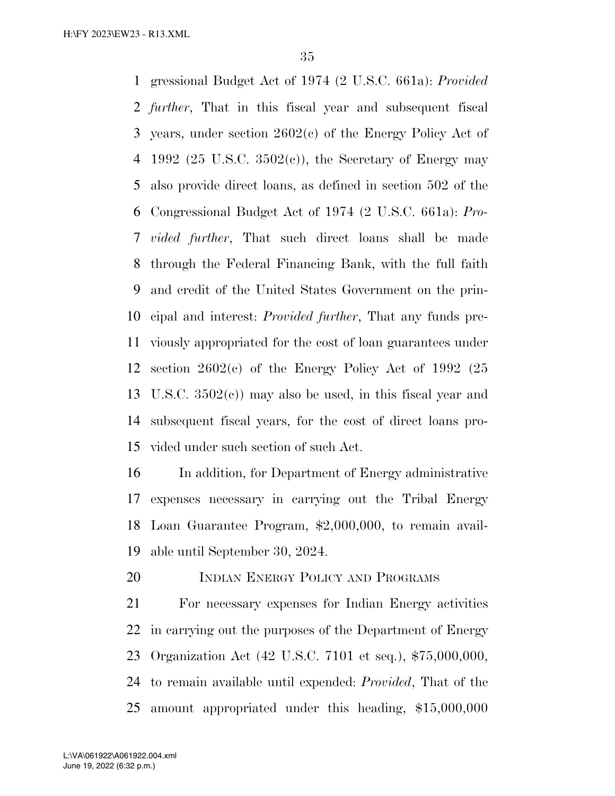gressional Budget Act of 1974 (2 U.S.C. 661a): *Provided further*, That in this fiscal year and subsequent fiscal years, under section 2602(c) of the Energy Policy Act of 4 1992 (25 U.S.C.  $3502(c)$ ), the Secretary of Energy may also provide direct loans, as defined in section 502 of the Congressional Budget Act of 1974 (2 U.S.C. 661a): *Pro- vided further*, That such direct loans shall be made through the Federal Financing Bank, with the full faith and credit of the United States Government on the prin- cipal and interest: *Provided further*, That any funds pre- viously appropriated for the cost of loan guarantees under section 2602(c) of the Energy Policy Act of 1992 (25 U.S.C. 3502(c)) may also be used, in this fiscal year and subsequent fiscal years, for the cost of direct loans pro-vided under such section of such Act.

 In addition, for Department of Energy administrative expenses necessary in carrying out the Tribal Energy Loan Guarantee Program, \$2,000,000, to remain avail-able until September 30, 2024.

INDIAN ENERGY POLICY AND PROGRAMS

 For necessary expenses for Indian Energy activities in carrying out the purposes of the Department of Energy Organization Act (42 U.S.C. 7101 et seq.), \$75,000,000, to remain available until expended: *Provided*, That of the amount appropriated under this heading, \$15,000,000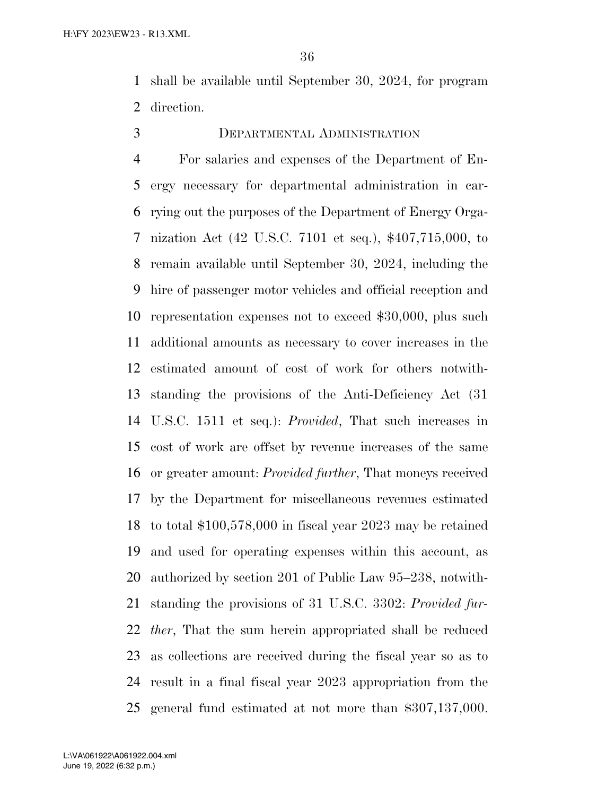shall be available until September 30, 2024, for program direction.

# DEPARTMENTAL ADMINISTRATION

 For salaries and expenses of the Department of En- ergy necessary for departmental administration in car- rying out the purposes of the Department of Energy Orga- nization Act (42 U.S.C. 7101 et seq.), \$407,715,000, to remain available until September 30, 2024, including the hire of passenger motor vehicles and official reception and representation expenses not to exceed \$30,000, plus such additional amounts as necessary to cover increases in the estimated amount of cost of work for others notwith- standing the provisions of the Anti-Deficiency Act (31 U.S.C. 1511 et seq.): *Provided*, That such increases in cost of work are offset by revenue increases of the same or greater amount: *Provided further*, That moneys received by the Department for miscellaneous revenues estimated to total \$100,578,000 in fiscal year 2023 may be retained and used for operating expenses within this account, as authorized by section 201 of Public Law 95–238, notwith- standing the provisions of 31 U.S.C. 3302: *Provided fur- ther*, That the sum herein appropriated shall be reduced as collections are received during the fiscal year so as to result in a final fiscal year 2023 appropriation from the general fund estimated at not more than \$307,137,000.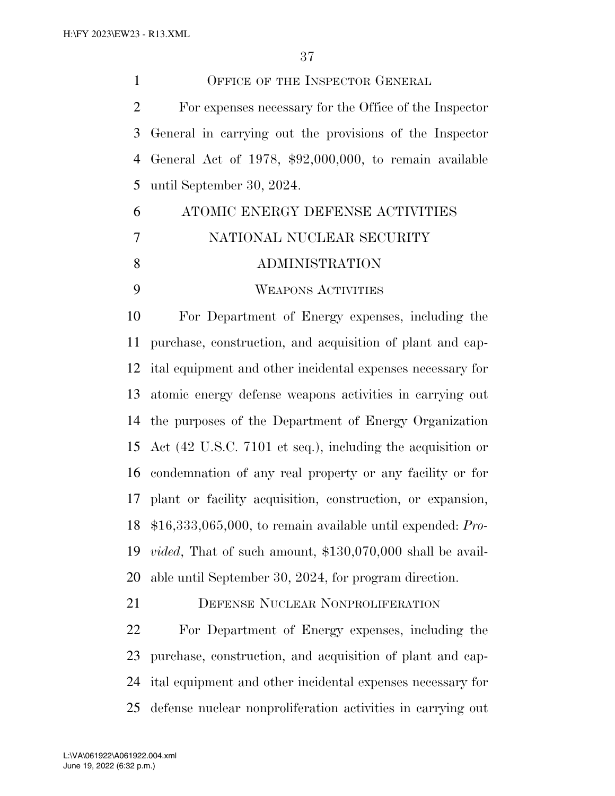1 OFFICE OF THE INSPECTOR GENERAL For expenses necessary for the Office of the Inspector General in carrying out the provisions of the Inspector General Act of 1978, \$92,000,000, to remain available until September 30, 2024. ATOMIC ENERGY DEFENSE ACTIVITIES NATIONAL NUCLEAR SECURITY ADMINISTRATION WEAPONS ACTIVITIES

 For Department of Energy expenses, including the purchase, construction, and acquisition of plant and cap- ital equipment and other incidental expenses necessary for atomic energy defense weapons activities in carrying out the purposes of the Department of Energy Organization Act (42 U.S.C. 7101 et seq.), including the acquisition or condemnation of any real property or any facility or for plant or facility acquisition, construction, or expansion, \$16,333,065,000, to remain available until expended: *Pro- vided*, That of such amount, \$130,070,000 shall be avail-able until September 30, 2024, for program direction.

DEFENSE NUCLEAR NONPROLIFERATION

 For Department of Energy expenses, including the purchase, construction, and acquisition of plant and cap- ital equipment and other incidental expenses necessary for defense nuclear nonproliferation activities in carrying out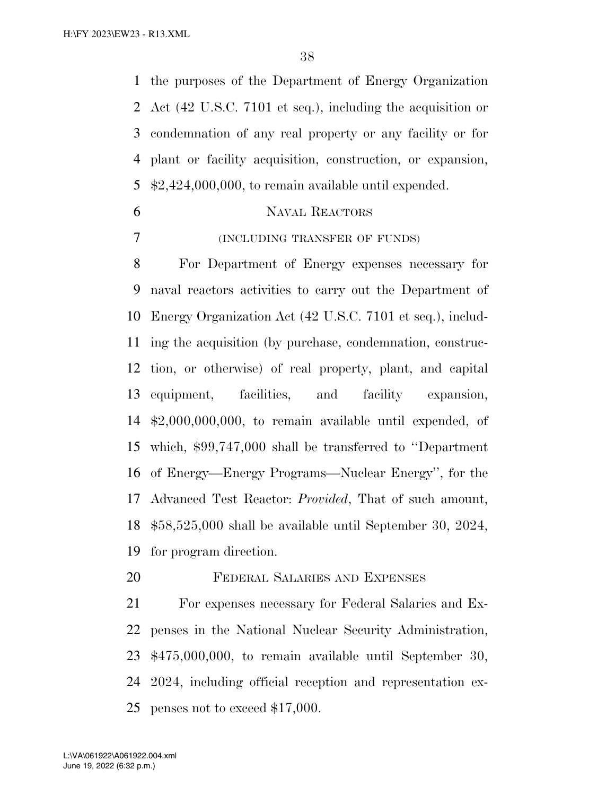the purposes of the Department of Energy Organization Act (42 U.S.C. 7101 et seq.), including the acquisition or condemnation of any real property or any facility or for plant or facility acquisition, construction, or expansion, \$2,424,000,000, to remain available until expended.

 NAVAL REACTORS (INCLUDING TRANSFER OF FUNDS)

 For Department of Energy expenses necessary for naval reactors activities to carry out the Department of Energy Organization Act (42 U.S.C. 7101 et seq.), includ- ing the acquisition (by purchase, condemnation, construc- tion, or otherwise) of real property, plant, and capital equipment, facilities, and facility expansion, \$2,000,000,000, to remain available until expended, of which, \$99,747,000 shall be transferred to ''Department of Energy—Energy Programs—Nuclear Energy'', for the Advanced Test Reactor: *Provided*, That of such amount, \$58,525,000 shall be available until September 30, 2024, for program direction.

FEDERAL SALARIES AND EXPENSES

 For expenses necessary for Federal Salaries and Ex- penses in the National Nuclear Security Administration, \$475,000,000, to remain available until September 30, 2024, including official reception and representation ex-penses not to exceed \$17,000.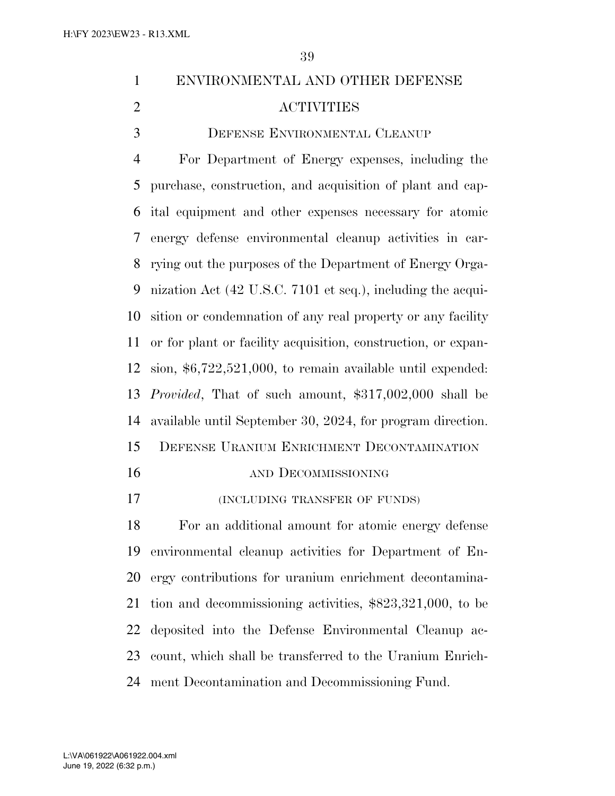|                | ENVIRONMENTAL AND OTHER DEFENSE |
|----------------|---------------------------------|
| $\overline{2}$ | <b>ACTIVITIES</b>               |

DEFENSE ENVIRONMENTAL CLEANUP

 For Department of Energy expenses, including the purchase, construction, and acquisition of plant and cap- ital equipment and other expenses necessary for atomic energy defense environmental cleanup activities in car- rying out the purposes of the Department of Energy Orga- nization Act (42 U.S.C. 7101 et seq.), including the acqui- sition or condemnation of any real property or any facility or for plant or facility acquisition, construction, or expan- sion, \$6,722,521,000, to remain available until expended: *Provided*, That of such amount, \$317,002,000 shall be available until September 30, 2024, for program direction. DEFENSE URANIUM ENRICHMENT DECONTAMINATION

AND DECOMMISSIONING

**(INCLUDING TRANSFER OF FUNDS)** 

 For an additional amount for atomic energy defense environmental cleanup activities for Department of En- ergy contributions for uranium enrichment decontamina- tion and decommissioning activities, \$823,321,000, to be deposited into the Defense Environmental Cleanup ac- count, which shall be transferred to the Uranium Enrich-ment Decontamination and Decommissioning Fund.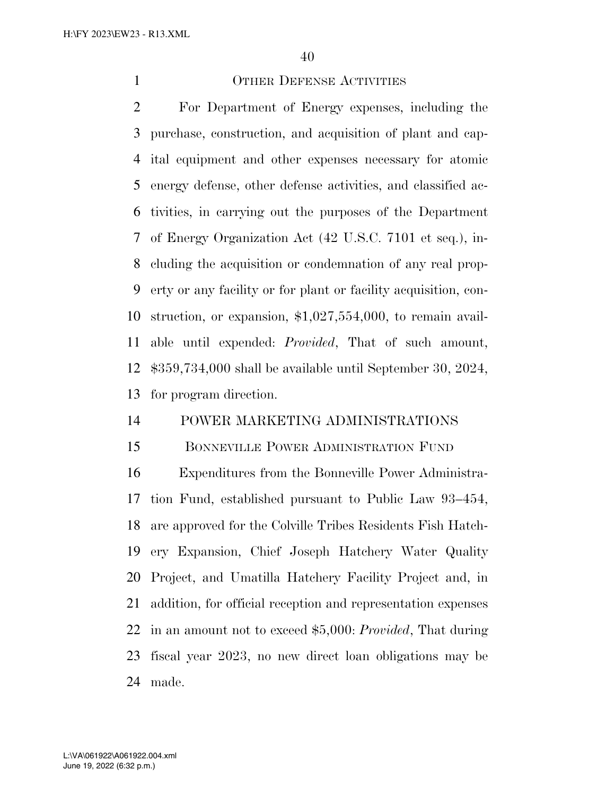# OTHER DEFENSE ACTIVITIES

 For Department of Energy expenses, including the purchase, construction, and acquisition of plant and cap- ital equipment and other expenses necessary for atomic energy defense, other defense activities, and classified ac- tivities, in carrying out the purposes of the Department of Energy Organization Act (42 U.S.C. 7101 et seq.), in- cluding the acquisition or condemnation of any real prop- erty or any facility or for plant or facility acquisition, con- struction, or expansion, \$1,027,554,000, to remain avail- able until expended: *Provided*, That of such amount, \$359,734,000 shall be available until September 30, 2024, for program direction.

# POWER MARKETING ADMINISTRATIONS

BONNEVILLE POWER ADMINISTRATION FUND

 Expenditures from the Bonneville Power Administra- tion Fund, established pursuant to Public Law 93–454, are approved for the Colville Tribes Residents Fish Hatch- ery Expansion, Chief Joseph Hatchery Water Quality Project, and Umatilla Hatchery Facility Project and, in addition, for official reception and representation expenses in an amount not to exceed \$5,000: *Provided*, That during fiscal year 2023, no new direct loan obligations may be made.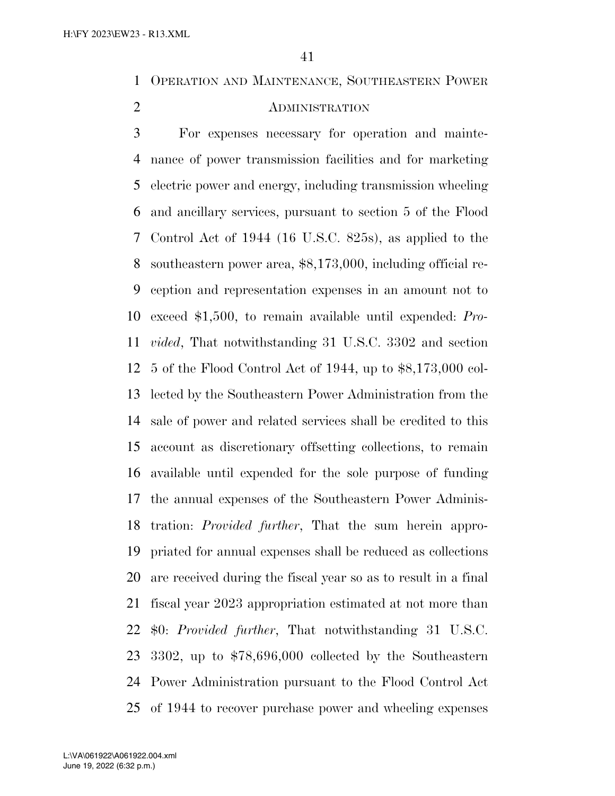OPERATION AND MAINTENANCE, SOUTHEASTERN POWER

# ADMINISTRATION

 For expenses necessary for operation and mainte- nance of power transmission facilities and for marketing electric power and energy, including transmission wheeling and ancillary services, pursuant to section 5 of the Flood Control Act of 1944 (16 U.S.C. 825s), as applied to the southeastern power area, \$8,173,000, including official re- ception and representation expenses in an amount not to exceed \$1,500, to remain available until expended: *Pro- vided*, That notwithstanding 31 U.S.C. 3302 and section 5 of the Flood Control Act of 1944, up to \$8,173,000 col- lected by the Southeastern Power Administration from the sale of power and related services shall be credited to this account as discretionary offsetting collections, to remain available until expended for the sole purpose of funding the annual expenses of the Southeastern Power Adminis- tration: *Provided further*, That the sum herein appro- priated for annual expenses shall be reduced as collections are received during the fiscal year so as to result in a final fiscal year 2023 appropriation estimated at not more than \$0: *Provided further*, That notwithstanding 31 U.S.C. 3302, up to \$78,696,000 collected by the Southeastern Power Administration pursuant to the Flood Control Act of 1944 to recover purchase power and wheeling expenses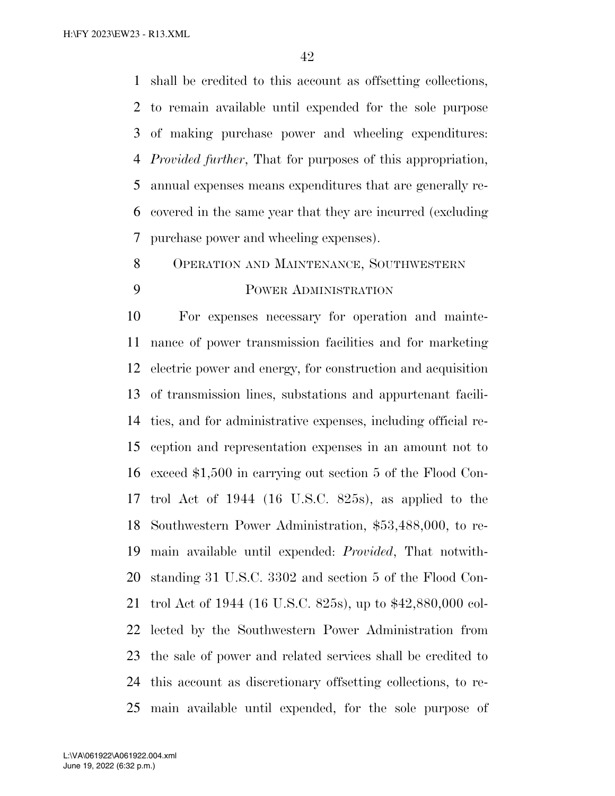shall be credited to this account as offsetting collections, to remain available until expended for the sole purpose of making purchase power and wheeling expenditures: *Provided further*, That for purposes of this appropriation, annual expenses means expenditures that are generally re- covered in the same year that they are incurred (excluding purchase power and wheeling expenses).

OPERATION AND MAINTENANCE, SOUTHWESTERN

# POWER ADMINISTRATION

 For expenses necessary for operation and mainte- nance of power transmission facilities and for marketing electric power and energy, for construction and acquisition of transmission lines, substations and appurtenant facili- ties, and for administrative expenses, including official re- ception and representation expenses in an amount not to exceed \$1,500 in carrying out section 5 of the Flood Con- trol Act of 1944 (16 U.S.C. 825s), as applied to the Southwestern Power Administration, \$53,488,000, to re- main available until expended: *Provided*, That notwith- standing 31 U.S.C. 3302 and section 5 of the Flood Con- trol Act of 1944 (16 U.S.C. 825s), up to \$42,880,000 col- lected by the Southwestern Power Administration from the sale of power and related services shall be credited to this account as discretionary offsetting collections, to re-main available until expended, for the sole purpose of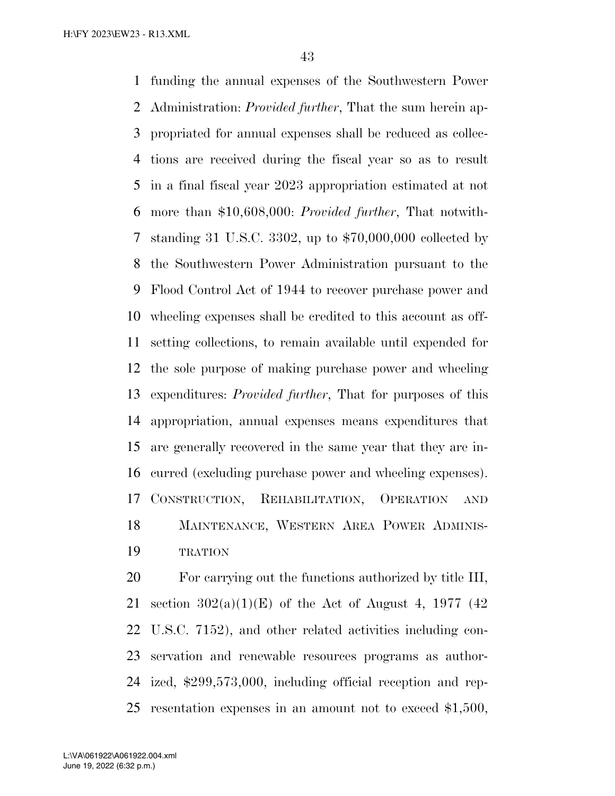funding the annual expenses of the Southwestern Power Administration: *Provided further*, That the sum herein ap- propriated for annual expenses shall be reduced as collec- tions are received during the fiscal year so as to result in a final fiscal year 2023 appropriation estimated at not more than \$10,608,000: *Provided further*, That notwith- standing 31 U.S.C. 3302, up to \$70,000,000 collected by the Southwestern Power Administration pursuant to the Flood Control Act of 1944 to recover purchase power and wheeling expenses shall be credited to this account as off- setting collections, to remain available until expended for the sole purpose of making purchase power and wheeling expenditures: *Provided further*, That for purposes of this appropriation, annual expenses means expenditures that are generally recovered in the same year that they are in- curred (excluding purchase power and wheeling expenses). CONSTRUCTION, REHABILITATION, OPERATION AND MAINTENANCE, WESTERN AREA POWER ADMINIS-TRATION

 For carrying out the functions authorized by title III, 21 section  $302(a)(1)(E)$  of the Act of August 4, 1977 (42) U.S.C. 7152), and other related activities including con- servation and renewable resources programs as author- ized, \$299,573,000, including official reception and rep-resentation expenses in an amount not to exceed \$1,500,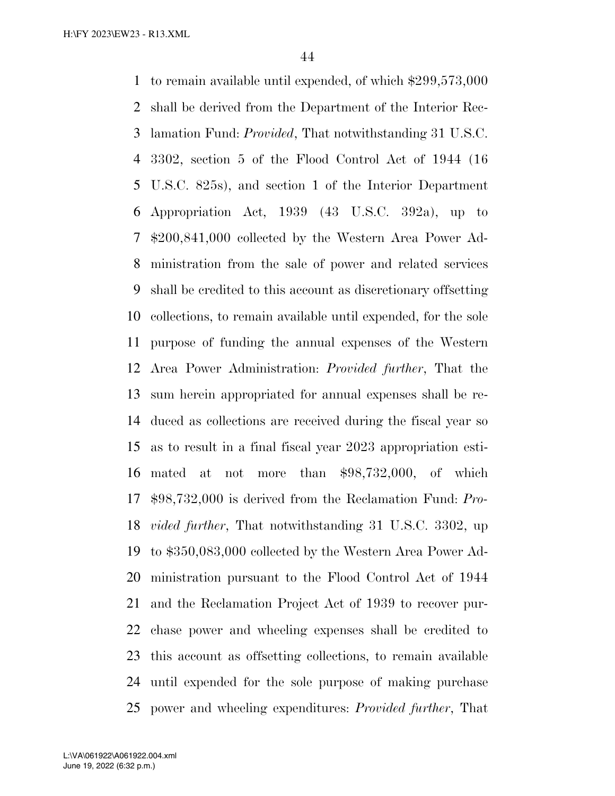to remain available until expended, of which \$299,573,000 shall be derived from the Department of the Interior Rec- lamation Fund: *Provided*, That notwithstanding 31 U.S.C. 3302, section 5 of the Flood Control Act of 1944 (16 U.S.C. 825s), and section 1 of the Interior Department Appropriation Act, 1939 (43 U.S.C. 392a), up to \$200,841,000 collected by the Western Area Power Ad- ministration from the sale of power and related services shall be credited to this account as discretionary offsetting collections, to remain available until expended, for the sole purpose of funding the annual expenses of the Western Area Power Administration: *Provided further*, That the sum herein appropriated for annual expenses shall be re- duced as collections are received during the fiscal year so as to result in a final fiscal year 2023 appropriation esti- mated at not more than \$98,732,000, of which \$98,732,000 is derived from the Reclamation Fund: *Pro- vided further*, That notwithstanding 31 U.S.C. 3302, up to \$350,083,000 collected by the Western Area Power Ad- ministration pursuant to the Flood Control Act of 1944 and the Reclamation Project Act of 1939 to recover pur- chase power and wheeling expenses shall be credited to this account as offsetting collections, to remain available until expended for the sole purpose of making purchase power and wheeling expenditures: *Provided further*, That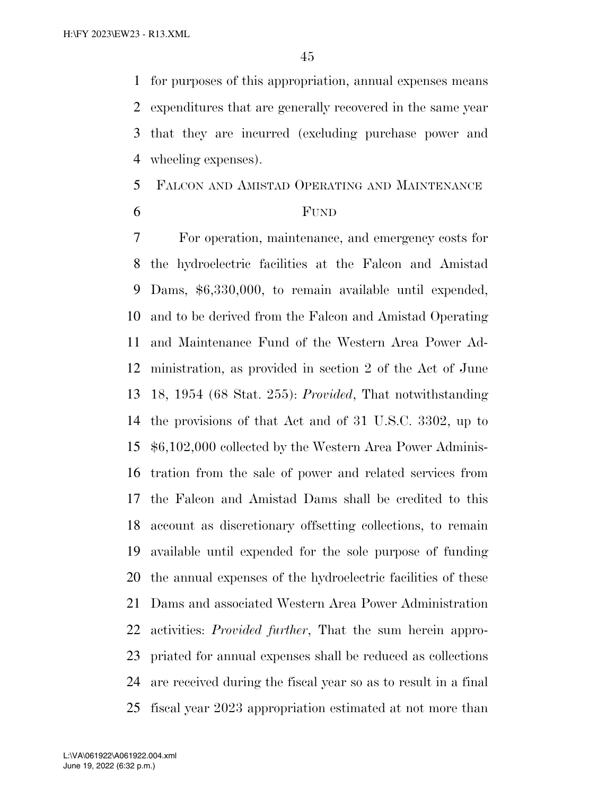for purposes of this appropriation, annual expenses means expenditures that are generally recovered in the same year that they are incurred (excluding purchase power and wheeling expenses).

# FALCON AND AMISTAD OPERATING AND MAINTENANCE

# FUND

 For operation, maintenance, and emergency costs for the hydroelectric facilities at the Falcon and Amistad Dams, \$6,330,000, to remain available until expended, and to be derived from the Falcon and Amistad Operating and Maintenance Fund of the Western Area Power Ad- ministration, as provided in section 2 of the Act of June 18, 1954 (68 Stat. 255): *Provided*, That notwithstanding the provisions of that Act and of 31 U.S.C. 3302, up to \$6,102,000 collected by the Western Area Power Adminis- tration from the sale of power and related services from the Falcon and Amistad Dams shall be credited to this account as discretionary offsetting collections, to remain available until expended for the sole purpose of funding the annual expenses of the hydroelectric facilities of these Dams and associated Western Area Power Administration activities: *Provided further*, That the sum herein appro- priated for annual expenses shall be reduced as collections are received during the fiscal year so as to result in a final fiscal year 2023 appropriation estimated at not more than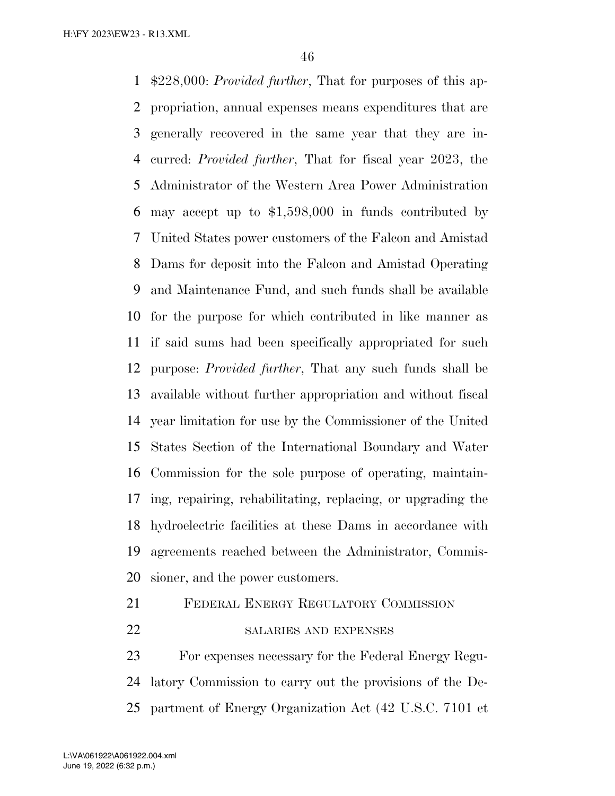\$228,000: *Provided further*, That for purposes of this ap- propriation, annual expenses means expenditures that are generally recovered in the same year that they are in- curred: *Provided further*, That for fiscal year 2023, the Administrator of the Western Area Power Administration may accept up to \$1,598,000 in funds contributed by United States power customers of the Falcon and Amistad Dams for deposit into the Falcon and Amistad Operating and Maintenance Fund, and such funds shall be available for the purpose for which contributed in like manner as if said sums had been specifically appropriated for such purpose: *Provided further*, That any such funds shall be available without further appropriation and without fiscal year limitation for use by the Commissioner of the United States Section of the International Boundary and Water Commission for the sole purpose of operating, maintain- ing, repairing, rehabilitating, replacing, or upgrading the hydroelectric facilities at these Dams in accordance with agreements reached between the Administrator, Commis-sioner, and the power customers.

FEDERAL ENERGY REGULATORY COMMISSION

22 SALARIES AND EXPENSES

 For expenses necessary for the Federal Energy Regu- latory Commission to carry out the provisions of the De-partment of Energy Organization Act (42 U.S.C. 7101 et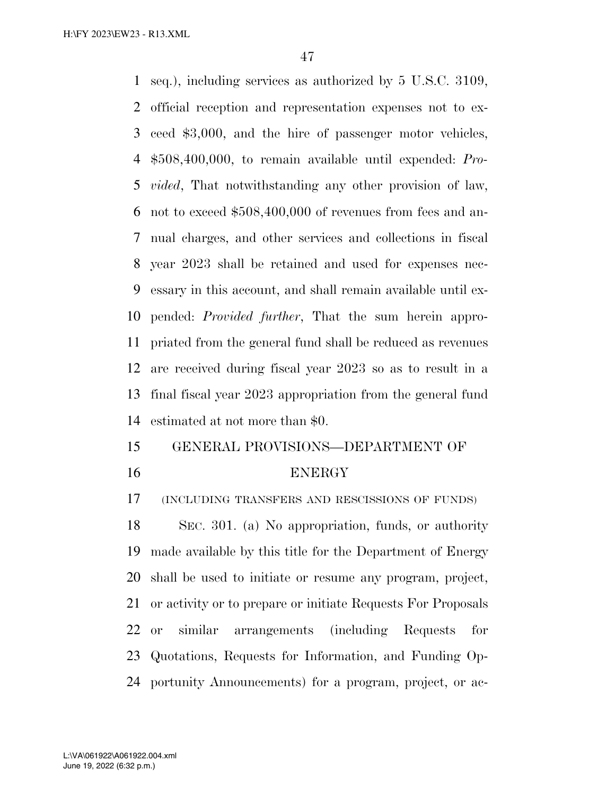seq.), including services as authorized by 5 U.S.C. 3109, official reception and representation expenses not to ex- ceed \$3,000, and the hire of passenger motor vehicles, \$508,400,000, to remain available until expended: *Pro- vided*, That notwithstanding any other provision of law, not to exceed \$508,400,000 of revenues from fees and an- nual charges, and other services and collections in fiscal year 2023 shall be retained and used for expenses nec- essary in this account, and shall remain available until ex- pended: *Provided further*, That the sum herein appro- priated from the general fund shall be reduced as revenues are received during fiscal year 2023 so as to result in a final fiscal year 2023 appropriation from the general fund estimated at not more than \$0.

# GENERAL PROVISIONS—DEPARTMENT OF ENERGY

(INCLUDING TRANSFERS AND RESCISSIONS OF FUNDS)

 SEC. 301. (a) No appropriation, funds, or authority made available by this title for the Department of Energy shall be used to initiate or resume any program, project, or activity or to prepare or initiate Requests For Proposals or similar arrangements (including Requests for Quotations, Requests for Information, and Funding Op-portunity Announcements) for a program, project, or ac-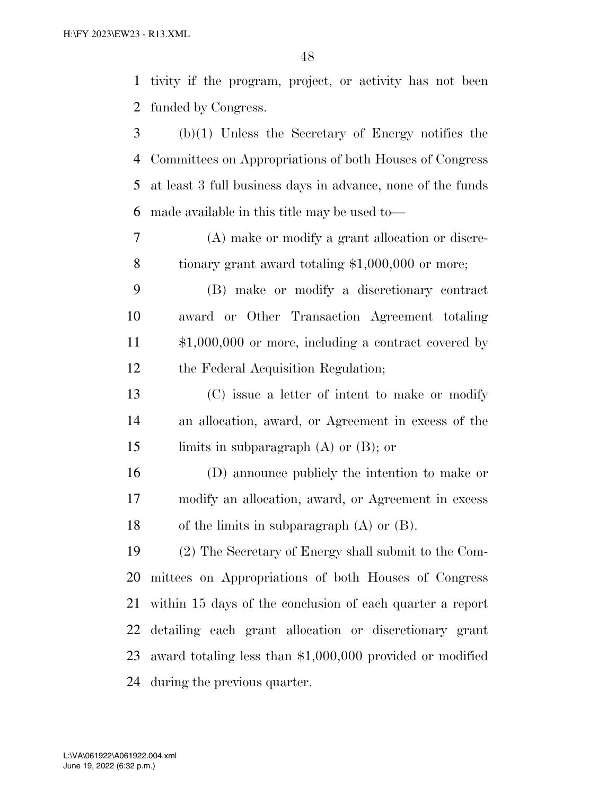tivity if the program, project, or activity has not been funded by Congress.

 (b)(1) Unless the Secretary of Energy notifies the Committees on Appropriations of both Houses of Congress at least 3 full business days in advance, none of the funds made available in this title may be used to—

 (A) make or modify a grant allocation or discre-tionary grant award totaling \$1,000,000 or more;

 (B) make or modify a discretionary contract award or Other Transaction Agreement totaling \$1,000,000 or more, including a contract covered by 12 the Federal Acquisition Regulation;

 (C) issue a letter of intent to make or modify an allocation, award, or Agreement in excess of the limits in subparagraph (A) or (B); or

 (D) announce publicly the intention to make or modify an allocation, award, or Agreement in excess of the limits in subparagraph (A) or (B).

 (2) The Secretary of Energy shall submit to the Com- mittees on Appropriations of both Houses of Congress within 15 days of the conclusion of each quarter a report detailing each grant allocation or discretionary grant award totaling less than \$1,000,000 provided or modified during the previous quarter.

June 19, 2022 (6:32 p.m.) L:\VA\061922\A061922.004.xml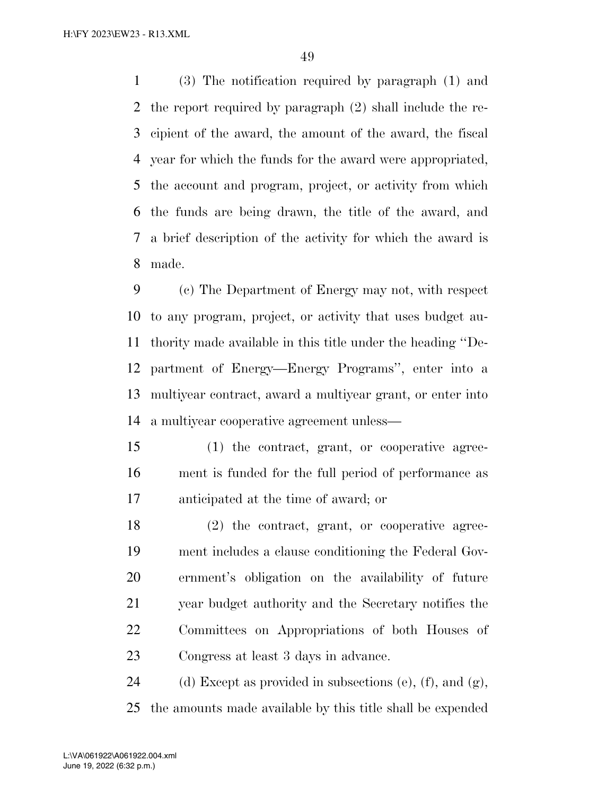(3) The notification required by paragraph (1) and the report required by paragraph (2) shall include the re- cipient of the award, the amount of the award, the fiscal year for which the funds for the award were appropriated, the account and program, project, or activity from which the funds are being drawn, the title of the award, and a brief description of the activity for which the award is made.

 (c) The Department of Energy may not, with respect to any program, project, or activity that uses budget au- thority made available in this title under the heading ''De- partment of Energy—Energy Programs'', enter into a multiyear contract, award a multiyear grant, or enter into a multiyear cooperative agreement unless—

 (1) the contract, grant, or cooperative agree- ment is funded for the full period of performance as anticipated at the time of award; or

 (2) the contract, grant, or cooperative agree- ment includes a clause conditioning the Federal Gov- ernment's obligation on the availability of future year budget authority and the Secretary notifies the Committees on Appropriations of both Houses of Congress at least 3 days in advance.

24 (d) Except as provided in subsections (e), (f), and  $(g)$ , the amounts made available by this title shall be expended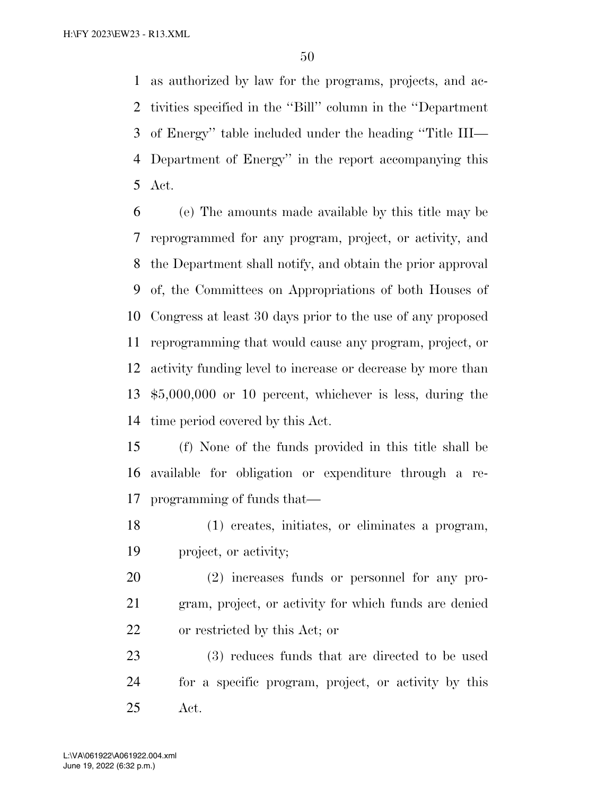as authorized by law for the programs, projects, and ac- tivities specified in the ''Bill'' column in the ''Department of Energy'' table included under the heading ''Title III— Department of Energy'' in the report accompanying this Act.

 (e) The amounts made available by this title may be reprogrammed for any program, project, or activity, and the Department shall notify, and obtain the prior approval of, the Committees on Appropriations of both Houses of Congress at least 30 days prior to the use of any proposed reprogramming that would cause any program, project, or activity funding level to increase or decrease by more than \$5,000,000 or 10 percent, whichever is less, during the time period covered by this Act.

 (f) None of the funds provided in this title shall be available for obligation or expenditure through a re-programming of funds that—

 (1) creates, initiates, or eliminates a program, project, or activity;

 (2) increases funds or personnel for any pro- gram, project, or activity for which funds are denied or restricted by this Act; or

 (3) reduces funds that are directed to be used for a specific program, project, or activity by this Act.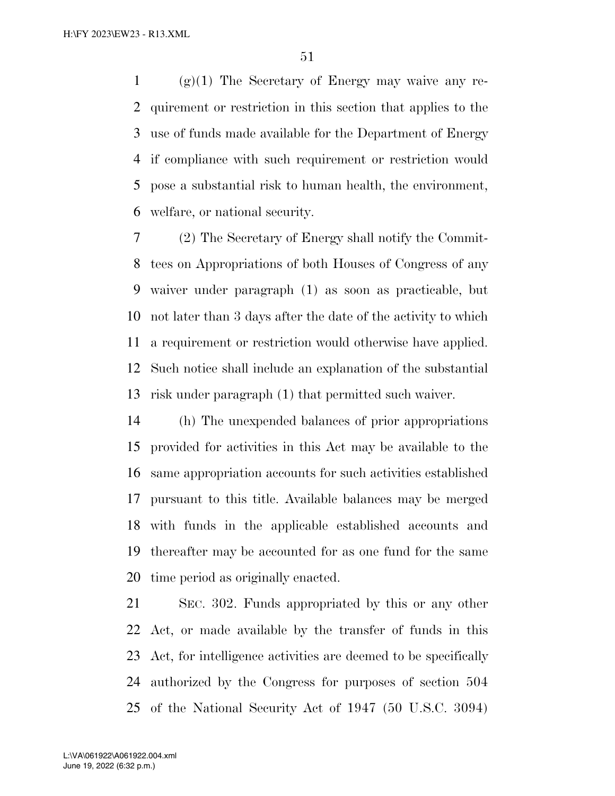1 (g)(1) The Secretary of Energy may waive any re- quirement or restriction in this section that applies to the use of funds made available for the Department of Energy if compliance with such requirement or restriction would pose a substantial risk to human health, the environment, welfare, or national security.

 (2) The Secretary of Energy shall notify the Commit- tees on Appropriations of both Houses of Congress of any waiver under paragraph (1) as soon as practicable, but not later than 3 days after the date of the activity to which a requirement or restriction would otherwise have applied. Such notice shall include an explanation of the substantial risk under paragraph (1) that permitted such waiver.

 (h) The unexpended balances of prior appropriations provided for activities in this Act may be available to the same appropriation accounts for such activities established pursuant to this title. Available balances may be merged with funds in the applicable established accounts and thereafter may be accounted for as one fund for the same time period as originally enacted.

 SEC. 302. Funds appropriated by this or any other Act, or made available by the transfer of funds in this Act, for intelligence activities are deemed to be specifically authorized by the Congress for purposes of section 504 of the National Security Act of 1947 (50 U.S.C. 3094)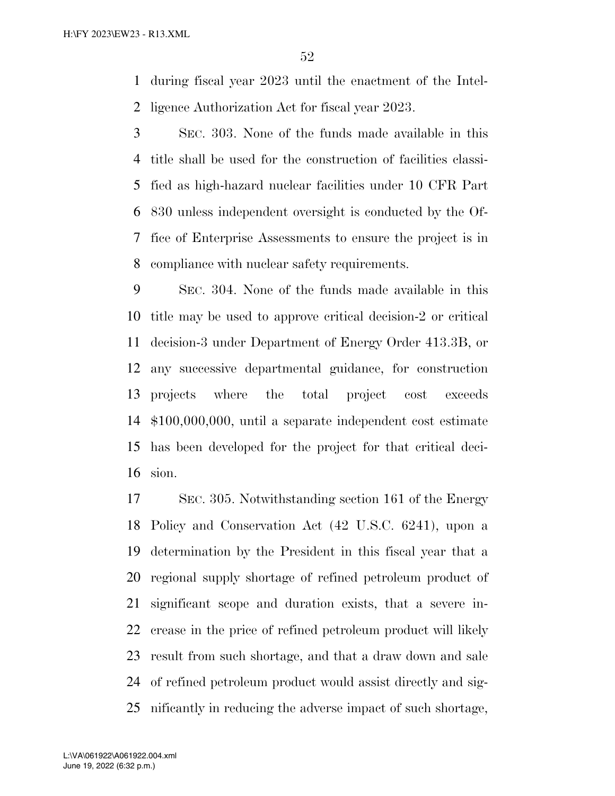during fiscal year 2023 until the enactment of the Intel-ligence Authorization Act for fiscal year 2023.

 SEC. 303. None of the funds made available in this title shall be used for the construction of facilities classi- fied as high-hazard nuclear facilities under 10 CFR Part 830 unless independent oversight is conducted by the Of- fice of Enterprise Assessments to ensure the project is in compliance with nuclear safety requirements.

 SEC. 304. None of the funds made available in this title may be used to approve critical decision-2 or critical decision-3 under Department of Energy Order 413.3B, or any successive departmental guidance, for construction projects where the total project cost exceeds \$100,000,000, until a separate independent cost estimate has been developed for the project for that critical deci-sion.

 SEC. 305. Notwithstanding section 161 of the Energy Policy and Conservation Act (42 U.S.C. 6241), upon a determination by the President in this fiscal year that a regional supply shortage of refined petroleum product of significant scope and duration exists, that a severe in- crease in the price of refined petroleum product will likely result from such shortage, and that a draw down and sale of refined petroleum product would assist directly and sig-nificantly in reducing the adverse impact of such shortage,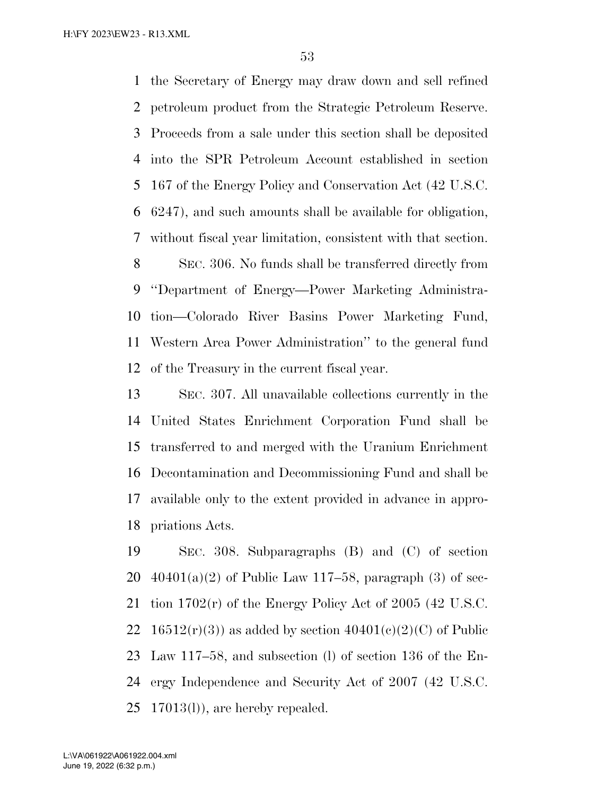the Secretary of Energy may draw down and sell refined petroleum product from the Strategic Petroleum Reserve. Proceeds from a sale under this section shall be deposited into the SPR Petroleum Account established in section 167 of the Energy Policy and Conservation Act (42 U.S.C. 6247), and such amounts shall be available for obligation, without fiscal year limitation, consistent with that section. SEC. 306. No funds shall be transferred directly from ''Department of Energy—Power Marketing Administra- tion—Colorado River Basins Power Marketing Fund, Western Area Power Administration'' to the general fund of the Treasury in the current fiscal year.

 SEC. 307. All unavailable collections currently in the United States Enrichment Corporation Fund shall be transferred to and merged with the Uranium Enrichment Decontamination and Decommissioning Fund and shall be available only to the extent provided in advance in appro-priations Acts.

 SEC. 308. Subparagraphs (B) and (C) of section  $40401(a)(2)$  of Public Law 117–58, paragraph (3) of sec- tion 1702(r) of the Energy Policy Act of 2005 (42 U.S.C. 22 16512(r)(3)) as added by section  $40401(e)(2)(C)$  of Public Law 117–58, and subsection (l) of section 136 of the En- ergy Independence and Security Act of 2007 (42 U.S.C. 17013(l)), are hereby repealed.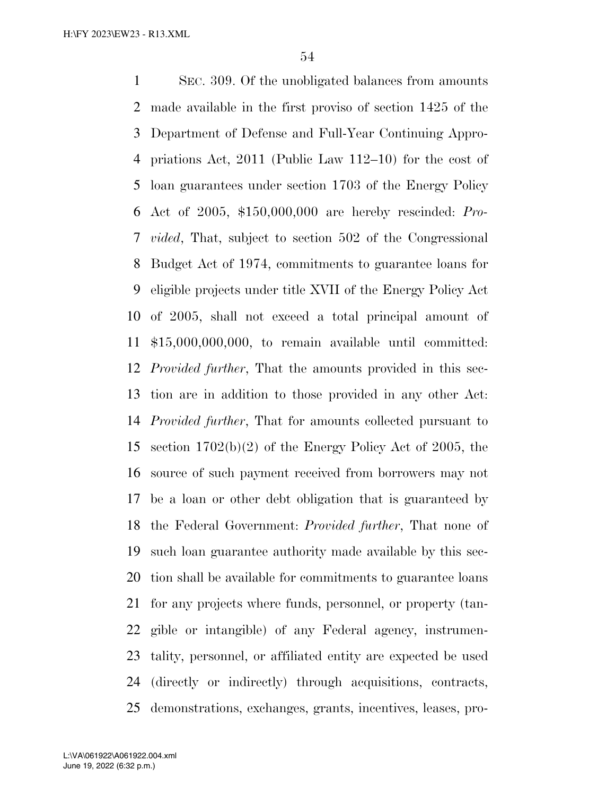SEC. 309. Of the unobligated balances from amounts made available in the first proviso of section 1425 of the Department of Defense and Full-Year Continuing Appro- priations Act, 2011 (Public Law 112–10) for the cost of loan guarantees under section 1703 of the Energy Policy Act of 2005, \$150,000,000 are hereby rescinded: *Pro- vided*, That, subject to section 502 of the Congressional Budget Act of 1974, commitments to guarantee loans for eligible projects under title XVII of the Energy Policy Act of 2005, shall not exceed a total principal amount of \$15,000,000,000, to remain available until committed: *Provided further*, That the amounts provided in this sec- tion are in addition to those provided in any other Act: *Provided further*, That for amounts collected pursuant to section 1702(b)(2) of the Energy Policy Act of 2005, the source of such payment received from borrowers may not be a loan or other debt obligation that is guaranteed by the Federal Government: *Provided further*, That none of such loan guarantee authority made available by this sec- tion shall be available for commitments to guarantee loans for any projects where funds, personnel, or property (tan- gible or intangible) of any Federal agency, instrumen- tality, personnel, or affiliated entity are expected be used (directly or indirectly) through acquisitions, contracts, demonstrations, exchanges, grants, incentives, leases, pro-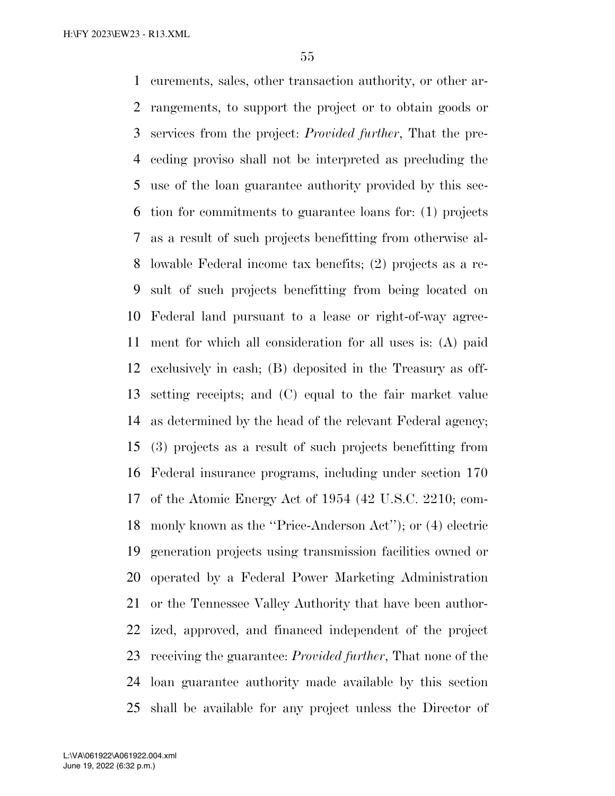curements, sales, other transaction authority, or other ar- rangements, to support the project or to obtain goods or services from the project: *Provided further*, That the pre- ceding proviso shall not be interpreted as precluding the use of the loan guarantee authority provided by this sec- tion for commitments to guarantee loans for: (1) projects as a result of such projects benefitting from otherwise al- lowable Federal income tax benefits; (2) projects as a re- sult of such projects benefitting from being located on Federal land pursuant to a lease or right-of-way agree- ment for which all consideration for all uses is: (A) paid exclusively in cash; (B) deposited in the Treasury as off- setting receipts; and (C) equal to the fair market value as determined by the head of the relevant Federal agency; (3) projects as a result of such projects benefitting from Federal insurance programs, including under section 170 of the Atomic Energy Act of 1954 (42 U.S.C. 2210; com- monly known as the ''Price-Anderson Act''); or (4) electric generation projects using transmission facilities owned or operated by a Federal Power Marketing Administration or the Tennessee Valley Authority that have been author- ized, approved, and financed independent of the project receiving the guarantee: *Provided further*, That none of the loan guarantee authority made available by this section shall be available for any project unless the Director of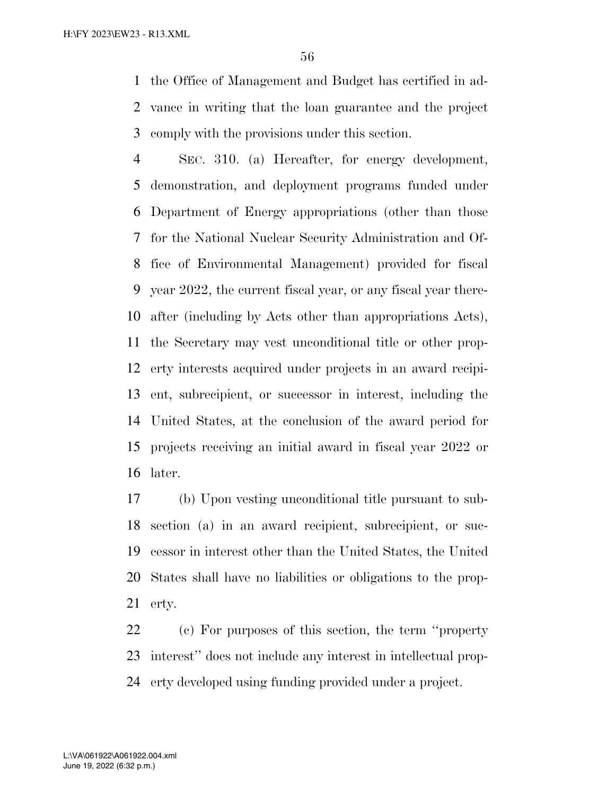the Office of Management and Budget has certified in ad- vance in writing that the loan guarantee and the project comply with the provisions under this section.

 SEC. 310. (a) Hereafter, for energy development, demonstration, and deployment programs funded under Department of Energy appropriations (other than those for the National Nuclear Security Administration and Of- fice of Environmental Management) provided for fiscal year 2022, the current fiscal year, or any fiscal year there- after (including by Acts other than appropriations Acts), the Secretary may vest unconditional title or other prop- erty interests acquired under projects in an award recipi- ent, subrecipient, or successor in interest, including the United States, at the conclusion of the award period for projects receiving an initial award in fiscal year 2022 or later.

 (b) Upon vesting unconditional title pursuant to sub- section (a) in an award recipient, subrecipient, or suc- cessor in interest other than the United States, the United States shall have no liabilities or obligations to the prop-erty.

 (c) For purposes of this section, the term ''property interest'' does not include any interest in intellectual prop-erty developed using funding provided under a project.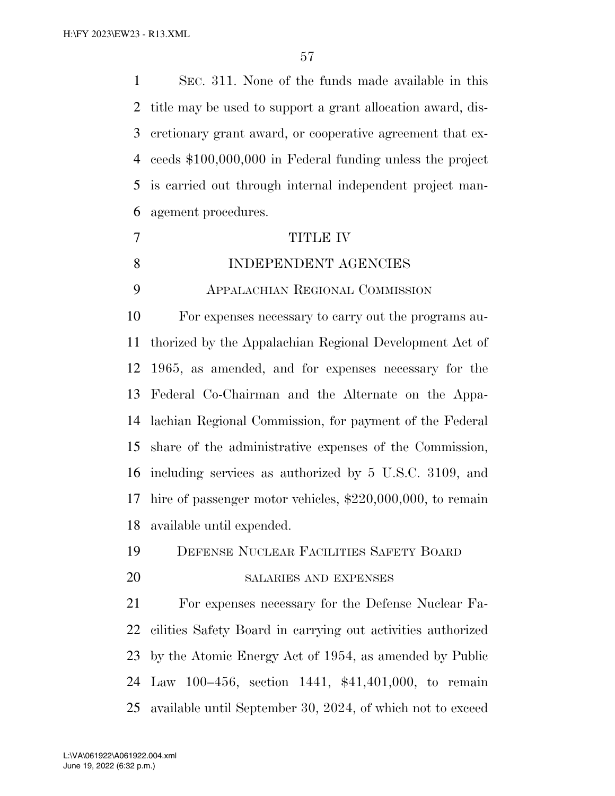SEC. 311. None of the funds made available in this title may be used to support a grant allocation award, dis- cretionary grant award, or cooperative agreement that ex- ceeds \$100,000,000 in Federal funding unless the project is carried out through internal independent project man-agement procedures.

### TITLE IV

# 8 INDEPENDENT AGENCIES

APPALACHIAN REGIONAL COMMISSION

 For expenses necessary to carry out the programs au- thorized by the Appalachian Regional Development Act of 1965, as amended, and for expenses necessary for the Federal Co-Chairman and the Alternate on the Appa- lachian Regional Commission, for payment of the Federal share of the administrative expenses of the Commission, including services as authorized by 5 U.S.C. 3109, and hire of passenger motor vehicles, \$220,000,000, to remain available until expended.

DEFENSE NUCLEAR FACILITIES SAFETY BOARD

# SALARIES AND EXPENSES

 For expenses necessary for the Defense Nuclear Fa- cilities Safety Board in carrying out activities authorized by the Atomic Energy Act of 1954, as amended by Public Law 100–456, section 1441, \$41,401,000, to remain available until September 30, 2024, of which not to exceed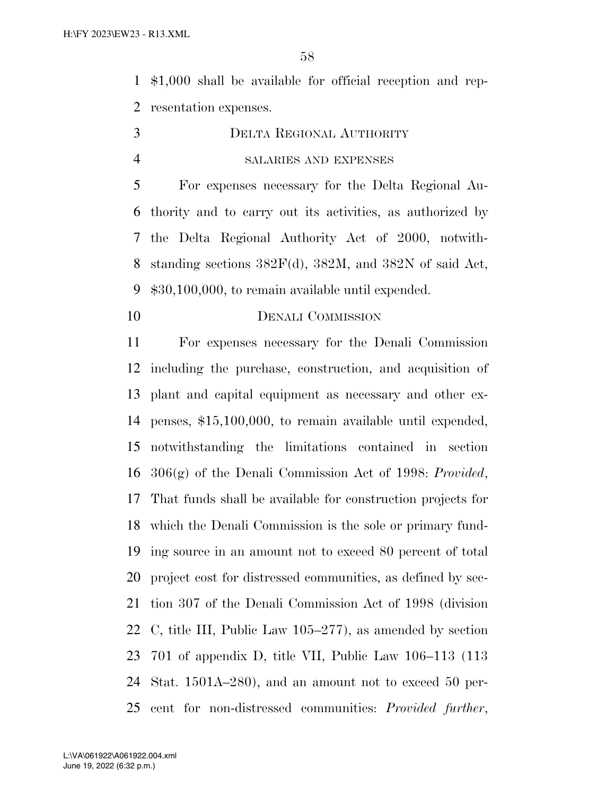\$1,000 shall be available for official reception and rep-resentation expenses.

 DELTA REGIONAL AUTHORITY SALARIES AND EXPENSES

 For expenses necessary for the Delta Regional Au- thority and to carry out its activities, as authorized by the Delta Regional Authority Act of 2000, notwith- standing sections 382F(d), 382M, and 382N of said Act, \$30,100,000, to remain available until expended.

DENALI COMMISSION

 For expenses necessary for the Denali Commission including the purchase, construction, and acquisition of plant and capital equipment as necessary and other ex- penses, \$15,100,000, to remain available until expended, notwithstanding the limitations contained in section 306(g) of the Denali Commission Act of 1998: *Provided*, That funds shall be available for construction projects for which the Denali Commission is the sole or primary fund- ing source in an amount not to exceed 80 percent of total project cost for distressed communities, as defined by sec- tion 307 of the Denali Commission Act of 1998 (division C, title III, Public Law 105–277), as amended by section 701 of appendix D, title VII, Public Law 106–113 (113 Stat. 1501A–280), and an amount not to exceed 50 per-cent for non-distressed communities: *Provided further*,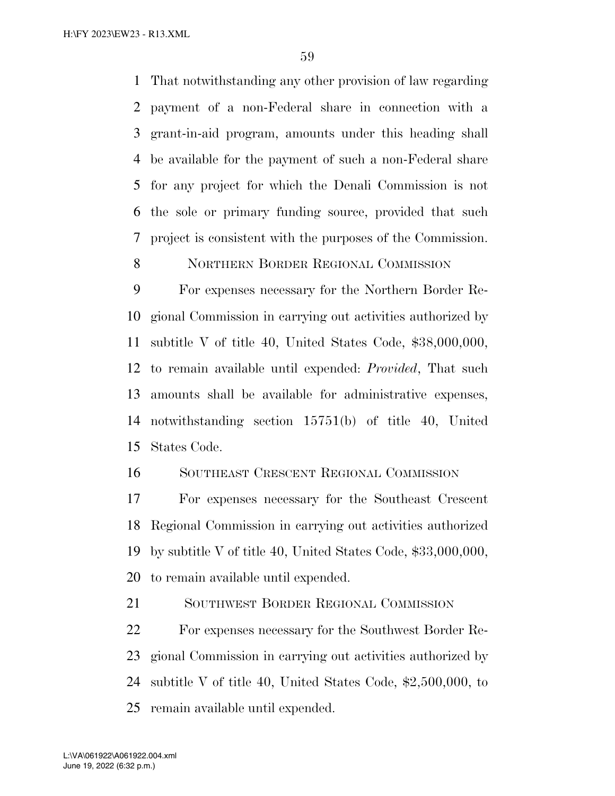That notwithstanding any other provision of law regarding payment of a non-Federal share in connection with a grant-in-aid program, amounts under this heading shall be available for the payment of such a non-Federal share for any project for which the Denali Commission is not the sole or primary funding source, provided that such project is consistent with the purposes of the Commission.

# NORTHERN BORDER REGIONAL COMMISSION

 For expenses necessary for the Northern Border Re- gional Commission in carrying out activities authorized by subtitle V of title 40, United States Code, \$38,000,000, to remain available until expended: *Provided*, That such amounts shall be available for administrative expenses, notwithstanding section 15751(b) of title 40, United States Code.

SOUTHEAST CRESCENT REGIONAL COMMISSION

 For expenses necessary for the Southeast Crescent Regional Commission in carrying out activities authorized by subtitle V of title 40, United States Code, \$33,000,000, to remain available until expended.

SOUTHWEST BORDER REGIONAL COMMISSION

 For expenses necessary for the Southwest Border Re- gional Commission in carrying out activities authorized by subtitle V of title 40, United States Code, \$2,500,000, to remain available until expended.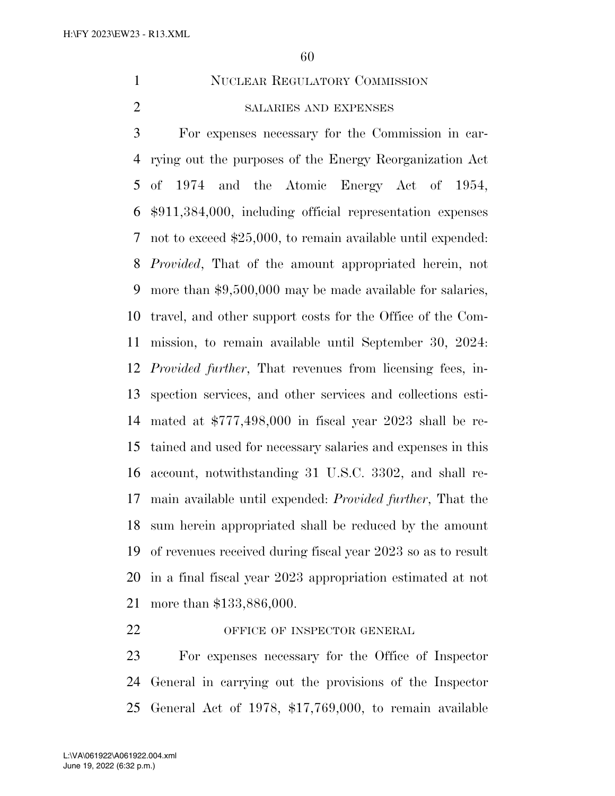NUCLEAR REGULATORY COMMISSION

# SALARIES AND EXPENSES

 For expenses necessary for the Commission in car- rying out the purposes of the Energy Reorganization Act of 1974 and the Atomic Energy Act of 1954, \$911,384,000, including official representation expenses not to exceed \$25,000, to remain available until expended: *Provided*, That of the amount appropriated herein, not more than \$9,500,000 may be made available for salaries, travel, and other support costs for the Office of the Com- mission, to remain available until September 30, 2024: *Provided further*, That revenues from licensing fees, in- spection services, and other services and collections esti- mated at \$777,498,000 in fiscal year 2023 shall be re- tained and used for necessary salaries and expenses in this account, notwithstanding 31 U.S.C. 3302, and shall re- main available until expended: *Provided further*, That the sum herein appropriated shall be reduced by the amount of revenues received during fiscal year 2023 so as to result in a final fiscal year 2023 appropriation estimated at not more than \$133,886,000.

22 OFFICE OF INSPECTOR GENERAL

 For expenses necessary for the Office of Inspector General in carrying out the provisions of the Inspector General Act of 1978, \$17,769,000, to remain available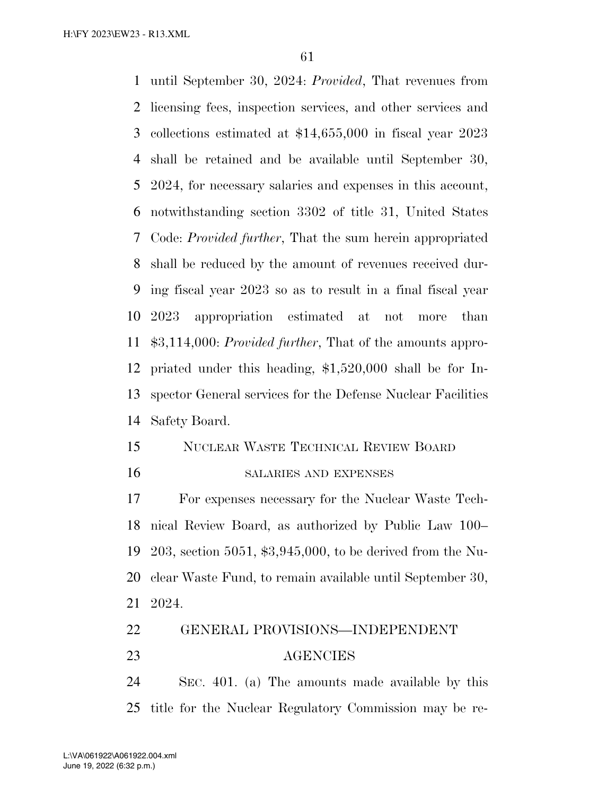until September 30, 2024: *Provided*, That revenues from licensing fees, inspection services, and other services and collections estimated at \$14,655,000 in fiscal year 2023 shall be retained and be available until September 30, 2024, for necessary salaries and expenses in this account, notwithstanding section 3302 of title 31, United States Code: *Provided further*, That the sum herein appropriated shall be reduced by the amount of revenues received dur- ing fiscal year 2023 so as to result in a final fiscal year 2023 appropriation estimated at not more than \$3,114,000: *Provided further*, That of the amounts appro- priated under this heading, \$1,520,000 shall be for In- spector General services for the Defense Nuclear Facilities Safety Board.

# NUCLEAR WASTE TECHNICAL REVIEW BOARD

# SALARIES AND EXPENSES

 For expenses necessary for the Nuclear Waste Tech- nical Review Board, as authorized by Public Law 100– 203, section 5051, \$3,945,000, to be derived from the Nu- clear Waste Fund, to remain available until September 30, 2024.

# GENERAL PROVISIONS—INDEPENDENT AGENCIES

 SEC. 401. (a) The amounts made available by this title for the Nuclear Regulatory Commission may be re-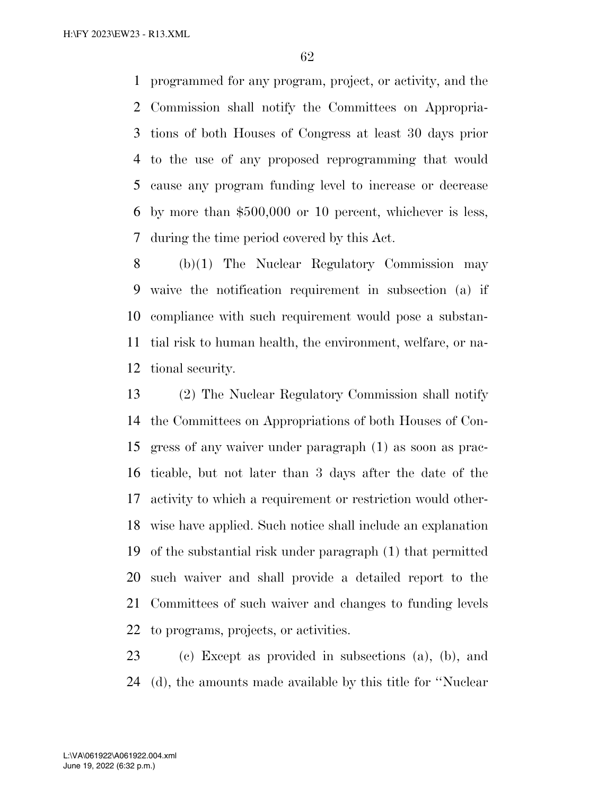programmed for any program, project, or activity, and the Commission shall notify the Committees on Appropria- tions of both Houses of Congress at least 30 days prior to the use of any proposed reprogramming that would cause any program funding level to increase or decrease by more than \$500,000 or 10 percent, whichever is less, during the time period covered by this Act.

 (b)(1) The Nuclear Regulatory Commission may waive the notification requirement in subsection (a) if compliance with such requirement would pose a substan- tial risk to human health, the environment, welfare, or na-tional security.

 (2) The Nuclear Regulatory Commission shall notify the Committees on Appropriations of both Houses of Con- gress of any waiver under paragraph (1) as soon as prac- ticable, but not later than 3 days after the date of the activity to which a requirement or restriction would other- wise have applied. Such notice shall include an explanation of the substantial risk under paragraph (1) that permitted such waiver and shall provide a detailed report to the Committees of such waiver and changes to funding levels to programs, projects, or activities.

 (c) Except as provided in subsections (a), (b), and (d), the amounts made available by this title for ''Nuclear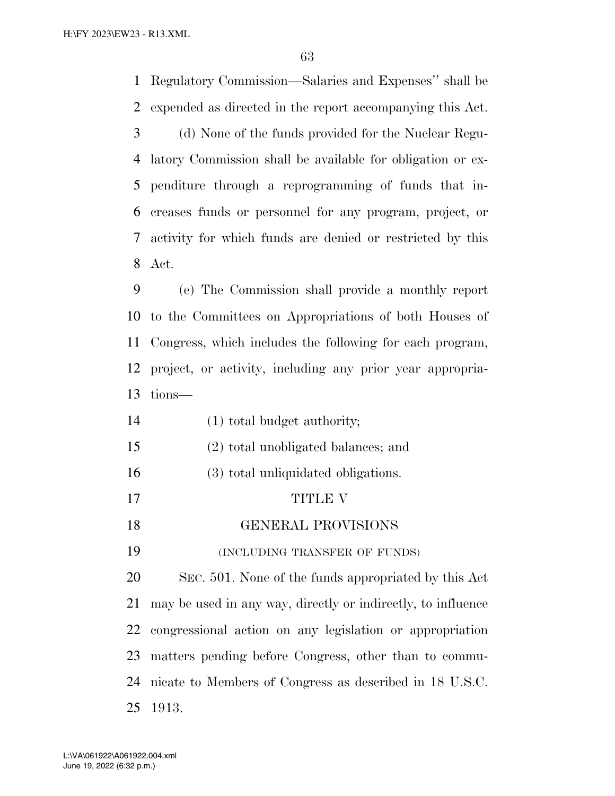Regulatory Commission—Salaries and Expenses'' shall be expended as directed in the report accompanying this Act.

 (d) None of the funds provided for the Nuclear Regu- latory Commission shall be available for obligation or ex- penditure through a reprogramming of funds that in- creases funds or personnel for any program, project, or activity for which funds are denied or restricted by this Act.

 (e) The Commission shall provide a monthly report to the Committees on Appropriations of both Houses of Congress, which includes the following for each program, project, or activity, including any prior year appropria-tions—

- (1) total budget authority;
- (2) total unobligated balances; and
- (3) total unliquidated obligations.
- 17 TITLE V
- GENERAL PROVISIONS

(INCLUDING TRANSFER OF FUNDS)

 SEC. 501. None of the funds appropriated by this Act may be used in any way, directly or indirectly, to influence congressional action on any legislation or appropriation matters pending before Congress, other than to commu- nicate to Members of Congress as described in 18 U.S.C. 1913.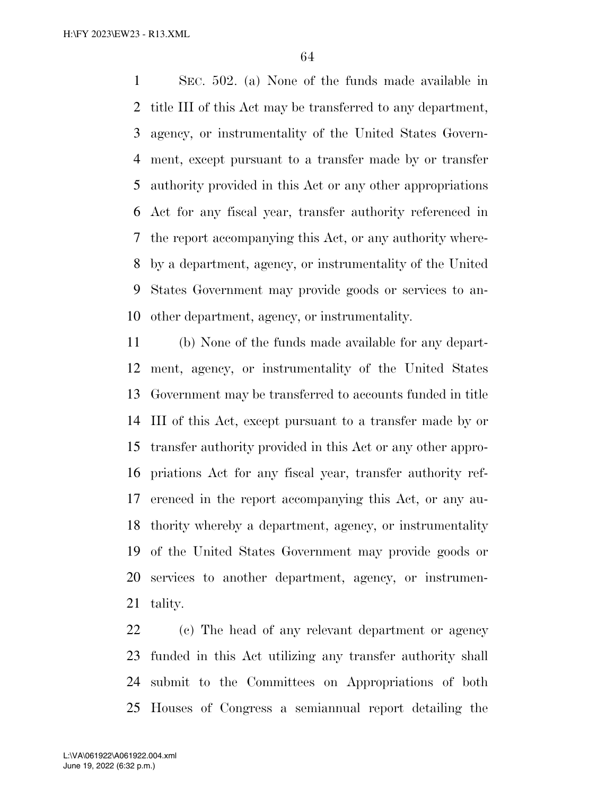SEC. 502. (a) None of the funds made available in title III of this Act may be transferred to any department, agency, or instrumentality of the United States Govern- ment, except pursuant to a transfer made by or transfer authority provided in this Act or any other appropriations Act for any fiscal year, transfer authority referenced in the report accompanying this Act, or any authority where- by a department, agency, or instrumentality of the United States Government may provide goods or services to an-other department, agency, or instrumentality.

 (b) None of the funds made available for any depart- ment, agency, or instrumentality of the United States Government may be transferred to accounts funded in title III of this Act, except pursuant to a transfer made by or transfer authority provided in this Act or any other appro- priations Act for any fiscal year, transfer authority ref- erenced in the report accompanying this Act, or any au- thority whereby a department, agency, or instrumentality of the United States Government may provide goods or services to another department, agency, or instrumen-tality.

 (c) The head of any relevant department or agency funded in this Act utilizing any transfer authority shall submit to the Committees on Appropriations of both Houses of Congress a semiannual report detailing the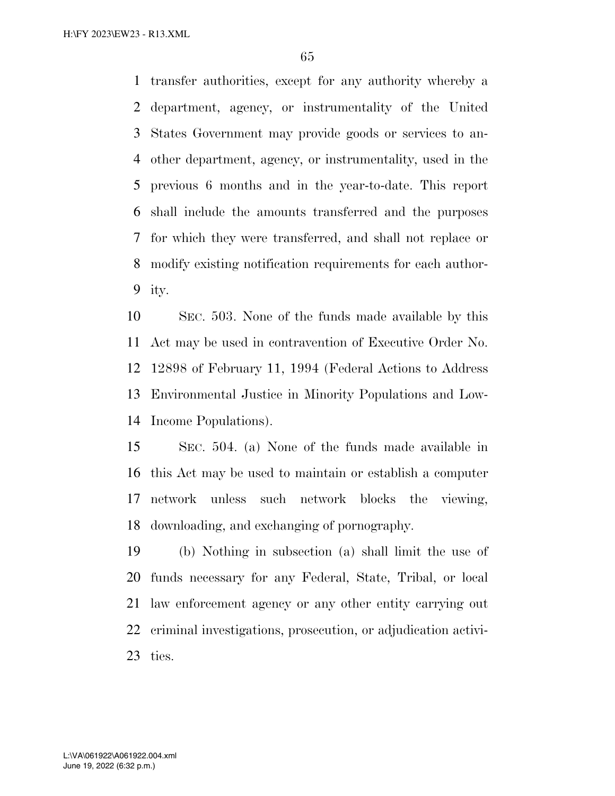transfer authorities, except for any authority whereby a department, agency, or instrumentality of the United States Government may provide goods or services to an- other department, agency, or instrumentality, used in the previous 6 months and in the year-to-date. This report shall include the amounts transferred and the purposes for which they were transferred, and shall not replace or modify existing notification requirements for each author-ity.

 SEC. 503. None of the funds made available by this Act may be used in contravention of Executive Order No. 12898 of February 11, 1994 (Federal Actions to Address Environmental Justice in Minority Populations and Low-Income Populations).

 SEC. 504. (a) None of the funds made available in this Act may be used to maintain or establish a computer network unless such network blocks the viewing, downloading, and exchanging of pornography.

 (b) Nothing in subsection (a) shall limit the use of funds necessary for any Federal, State, Tribal, or local law enforcement agency or any other entity carrying out criminal investigations, prosecution, or adjudication activi-ties.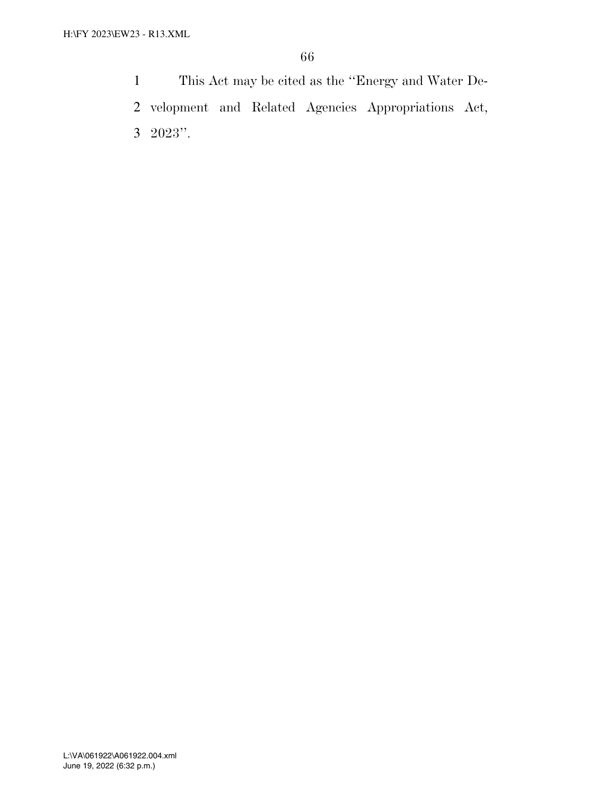1 This Act may be cited as the ''Energy and Water De-

2 velopment and Related Agencies Appropriations Act, 3 2023''.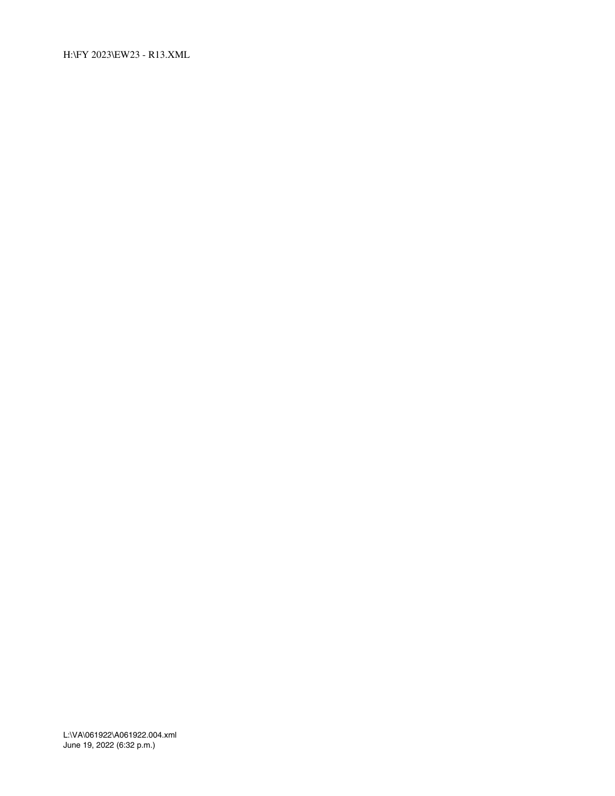June 19, 2022 (6:32 p.m.) L:\VA\061922\A061922.004.xml